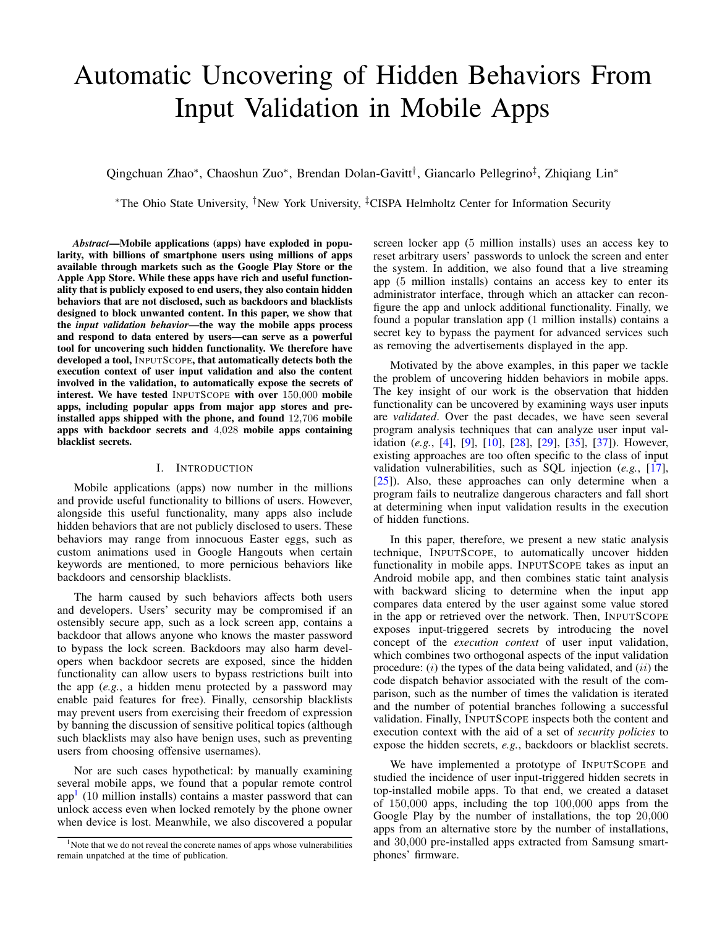# Automatic Uncovering of Hidden Behaviors From Input Validation in Mobile Apps

Qingchuan Zhao\*, Chaoshun Zuo\*, Brendan Dolan-Gavitt<sup>†</sup>, Giancarlo Pellegrino<sup>‡</sup>, Zhiqiang Lin\*

<sup>∗</sup>The Ohio State University, †New York University, ‡CISPA Helmholtz Center for Information Security

*Abstract*—Mobile applications (apps) have exploded in popularity, with billions of smartphone users using millions of apps available through markets such as the Google Play Store or the Apple App Store. While these apps have rich and useful functionality that is publicly exposed to end users, they also contain hidden behaviors that are not disclosed, such as backdoors and blacklists designed to block unwanted content. In this paper, we show that the *input validation behavior*—the way the mobile apps process and respond to data entered by users—can serve as a powerful tool for uncovering such hidden functionality. We therefore have developed a tool, INPUTSCOPE, that automatically detects both the execution context of user input validation and also the content involved in the validation, to automatically expose the secrets of interest. We have tested INPUTSCOPE with over 150,000 mobile apps, including popular apps from major app stores and preinstalled apps shipped with the phone, and found 12,706 mobile apps with backdoor secrets and 4,028 mobile apps containing blacklist secrets.

## I. INTRODUCTION

Mobile applications (apps) now number in the millions and provide useful functionality to billions of users. However, alongside this useful functionality, many apps also include hidden behaviors that are not publicly disclosed to users. These behaviors may range from innocuous Easter eggs, such as custom animations used in Google Hangouts when certain keywords are mentioned, to more pernicious behaviors like backdoors and censorship blacklists.

The harm caused by such behaviors affects both users and developers. Users' security may be compromised if an ostensibly secure app, such as a lock screen app, contains a backdoor that allows anyone who knows the master password to bypass the lock screen. Backdoors may also harm developers when backdoor secrets are exposed, since the hidden functionality can allow users to bypass restrictions built into the app (*e.g.*, a hidden menu protected by a password may enable paid features for free). Finally, censorship blacklists may prevent users from exercising their freedom of expression by banning the discussion of sensitive political topics (although such blacklists may also have benign uses, such as preventing users from choosing offensive usernames).

Nor are such cases hypothetical: by manually examining several mobile apps, we found that a popular remote control  $app<sup>1</sup>$  $app<sup>1</sup>$  $app<sup>1</sup>$  (10 million installs) contains a master password that can unlock access even when locked remotely by the phone owner when device is lost. Meanwhile, we also discovered a popular screen locker app (5 million installs) uses an access key to reset arbitrary users' passwords to unlock the screen and enter the system. In addition, we also found that a live streaming app (5 million installs) contains an access key to enter its administrator interface, through which an attacker can reconfigure the app and unlock additional functionality. Finally, we found a popular translation app (1 million installs) contains a secret key to bypass the payment for advanced services such as removing the advertisements displayed in the app.

Motivated by the above examples, in this paper we tackle the problem of uncovering hidden behaviors in mobile apps. The key insight of our work is the observation that hidden functionality can be uncovered by examining ways user inputs are *validated*. Over the past decades, we have seen several program analysis techniques that can analyze user input validation (*e.g.*, [\[4\]](#page-13-0), [\[9\]](#page-13-1), [\[10\]](#page-13-2), [\[28\]](#page-13-3), [\[29\]](#page-13-4), [\[35\]](#page-14-0), [\[37\]](#page-14-1)). However, existing approaches are too often specific to the class of input validation vulnerabilities, such as SQL injection (*e.g.*, [\[17\]](#page-13-5), [\[25\]](#page-13-6)). Also, these approaches can only determine when a program fails to neutralize dangerous characters and fall short at determining when input validation results in the execution of hidden functions.

In this paper, therefore, we present a new static analysis technique, INPUTSCOPE, to automatically uncover hidden functionality in mobile apps. INPUTSCOPE takes as input an Android mobile app, and then combines static taint analysis with backward slicing to determine when the input app compares data entered by the user against some value stored in the app or retrieved over the network. Then, INPUTSCOPE exposes input-triggered secrets by introducing the novel concept of the *execution context* of user input validation, which combines two orthogonal aspects of the input validation procedure:  $(i)$  the types of the data being validated, and  $(ii)$  the code dispatch behavior associated with the result of the comparison, such as the number of times the validation is iterated and the number of potential branches following a successful validation. Finally, INPUTSCOPE inspects both the content and execution context with the aid of a set of *security policies* to expose the hidden secrets, *e.g.*, backdoors or blacklist secrets.

We have implemented a prototype of INPUTSCOPE and studied the incidence of user input-triggered hidden secrets in top-installed mobile apps. To that end, we created a dataset of 150,000 apps, including the top 100,000 apps from the Google Play by the number of installations, the top 20,000 apps from an alternative store by the number of installations, and 30,000 pre-installed apps extracted from Samsung smartphones' firmware.

<span id="page-0-0"></span><sup>&</sup>lt;sup>1</sup>Note that we do not reveal the concrete names of apps whose vulnerabilities remain unpatched at the time of publication.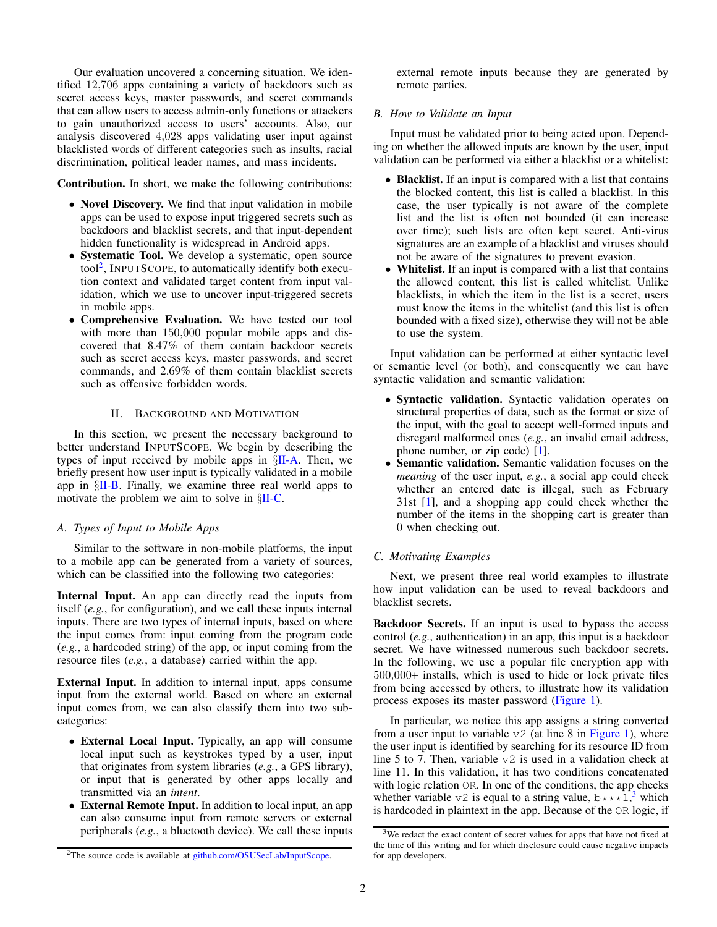Our evaluation uncovered a concerning situation. We identified 12,706 apps containing a variety of backdoors such as secret access keys, master passwords, and secret commands that can allow users to access admin-only functions or attackers to gain unauthorized access to users' accounts. Also, our analysis discovered 4,028 apps validating user input against blacklisted words of different categories such as insults, racial discrimination, political leader names, and mass incidents.

Contribution. In short, we make the following contributions:

- Novel Discovery. We find that input validation in mobile apps can be used to expose input triggered secrets such as backdoors and blacklist secrets, and that input-dependent hidden functionality is widespread in Android apps.
- Systematic Tool. We develop a systematic, open source tool<sup>[2](#page-1-0)</sup>, INPUTSCOPE, to automatically identify both execution context and validated target content from input validation, which we use to uncover input-triggered secrets in mobile apps.
- Comprehensive Evaluation. We have tested our tool with more than  $150,000$  popular mobile apps and discovered that 8.47% of them contain backdoor secrets such as secret access keys, master passwords, and secret commands, and 2.69% of them contain blacklist secrets such as offensive forbidden words.

## II. BACKGROUND AND MOTIVATION

In this section, we present the necessary background to better understand INPUTSCOPE. We begin by describing the types of input received by mobile apps in  $\S$ [II-A.](#page-1-1) Then, we briefly present how user input is typically validated in a mobile app in §[II-B.](#page-1-2) Finally, we examine three real world apps to motivate the problem we aim to solve in §[II-C.](#page-1-3)

# <span id="page-1-1"></span>*A. Types of Input to Mobile Apps*

Similar to the software in non-mobile platforms, the input to a mobile app can be generated from a variety of sources, which can be classified into the following two categories:

Internal Input. An app can directly read the inputs from itself (*e.g.*, for configuration), and we call these inputs internal inputs. There are two types of internal inputs, based on where the input comes from: input coming from the program code (*e.g.*, a hardcoded string) of the app, or input coming from the resource files (*e.g.*, a database) carried within the app.

External Input. In addition to internal input, apps consume input from the external world. Based on where an external input comes from, we can also classify them into two subcategories:

- External Local Input. Typically, an app will consume local input such as keystrokes typed by a user, input that originates from system libraries (*e.g.*, a GPS library), or input that is generated by other apps locally and transmitted via an *intent*.
- External Remote Input. In addition to local input, an app can also consume input from remote servers or external peripherals (*e.g.*, a bluetooth device). We call these inputs

external remote inputs because they are generated by remote parties.

# <span id="page-1-2"></span>*B. How to Validate an Input*

Input must be validated prior to being acted upon. Depending on whether the allowed inputs are known by the user, input validation can be performed via either a blacklist or a whitelist:

- Blacklist. If an input is compared with a list that contains the blocked content, this list is called a blacklist. In this case, the user typically is not aware of the complete list and the list is often not bounded (it can increase over time); such lists are often kept secret. Anti-virus signatures are an example of a blacklist and viruses should not be aware of the signatures to prevent evasion.
- Whitelist. If an input is compared with a list that contains the allowed content, this list is called whitelist. Unlike blacklists, in which the item in the list is a secret, users must know the items in the whitelist (and this list is often bounded with a fixed size), otherwise they will not be able to use the system.

Input validation can be performed at either syntactic level or semantic level (or both), and consequently we can have syntactic validation and semantic validation:

- Syntactic validation. Syntactic validation operates on structural properties of data, such as the format or size of the input, with the goal to accept well-formed inputs and disregard malformed ones (*e.g.*, an invalid email address, phone number, or zip code) [\[1\]](#page-13-7).
- Semantic validation. Semantic validation focuses on the *meaning* of the user input, *e.g.*, a social app could check whether an entered date is illegal, such as February 31st [\[1\]](#page-13-7), and a shopping app could check whether the number of the items in the shopping cart is greater than 0 when checking out.

# <span id="page-1-3"></span>*C. Motivating Examples*

Next, we present three real world examples to illustrate how input validation can be used to reveal backdoors and blacklist secrets.

Backdoor Secrets. If an input is used to bypass the access control (*e.g.*, authentication) in an app, this input is a backdoor secret. We have witnessed numerous such backdoor secrets. In the following, we use a popular file encryption app with 500,000+ installs, which is used to hide or lock private files from being accessed by others, to illustrate how its validation process exposes its master password [\(Figure 1\)](#page-2-0).

In particular, we notice this app assigns a string converted from a user input to variable  $\nu$ 2 (at line 8 in [Figure 1\)](#page-2-0), where the user input is identified by searching for its resource ID from line 5 to 7. Then, variable v2 is used in a validation check at line 11. In this validation, it has two conditions concatenated with logic relation OR. In one of the conditions, the app checks whether variable  $\vee$ 2 is equal to a string value, b  $\star \star \star 1$ ,<sup>[3](#page-1-4)</sup> which is hardcoded in plaintext in the app. Because of the OR logic, if

<span id="page-1-4"></span><sup>3</sup>We redact the exact content of secret values for apps that have not fixed at the time of this writing and for which disclosure could cause negative impacts for app developers.

<span id="page-1-0"></span><sup>&</sup>lt;sup>2</sup>The source code is available at [github.com/OSUSecLab/InputScope.](github.com/OSUSecLab/InputScope)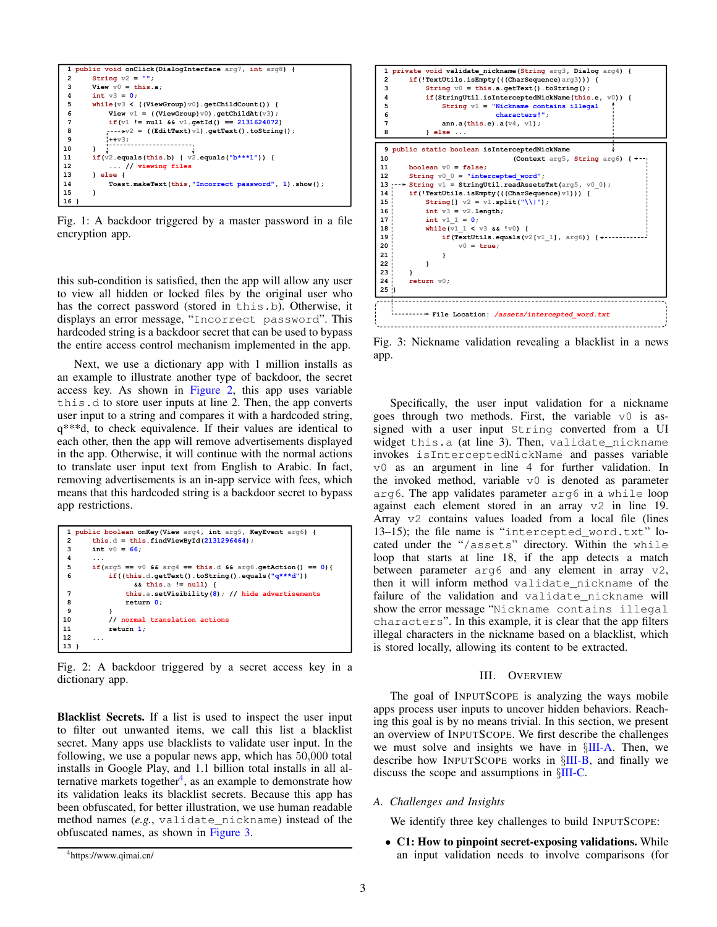<span id="page-2-0"></span>

Fig. 1: A backdoor triggered by a master password in a file encryption app.

this sub-condition is satisfied, then the app will allow any user to view all hidden or locked files by the original user who has the correct password (stored in this.b). Otherwise, it displays an error message, "Incorrect password". This hardcoded string is a backdoor secret that can be used to bypass the entire access control mechanism implemented in the app.

Next, we use a dictionary app with 1 million installs as an example to illustrate another type of backdoor, the secret access key. As shown in [Figure 2,](#page-2-1) this app uses variable this.d to store user inputs at line 2. Then, the app converts user input to a string and compares it with a hardcoded string, q\*\*\*d, to check equivalence. If their values are identical to each other, then the app will remove advertisements displayed in the app. Otherwise, it will continue with the normal actions to translate user input text from English to Arabic. In fact, removing advertisements is an in-app service with fees, which means that this hardcoded string is a backdoor secret to bypass app restrictions.

```
 1 public boolean onKey(View arg4, int arg5, KeyEvent arg6) {
2 this.d = this.findViewById(2131296464);<br>3 int v0 = 66:
      int v0 = 66;
 4 ...
 5 if(arg5 == v0 && arg4 == this.d && arg6.getAction() == 0){
 6 if((this.d.getText().toString().equals("q***d"))
 && this.a != null) {
               7 this.a.setVisibility(8); // hide advertisements
 8 return 0;
 9 } 
10 // normal translation actions 
11 return 1; 
12 ... 
13 }
```
Fig. 2: A backdoor triggered by a secret access key in a dictionary app.

Blacklist Secrets. If a list is used to inspect the user input to filter out unwanted items, we call this list a blacklist secret. Many apps use blacklists to validate user input. In the following, we use a popular news app, which has 50,000 total installs in Google Play, and 1.1 billion total installs in all al-ternative markets together<sup>[4](#page-2-2)</sup>, as an example to demonstrate how its validation leaks its blacklist secrets. Because this app has been obfuscated, for better illustration, we use human readable method names (*e.g.*, validate\_nickname) instead of the obfuscated names, as shown in [Figure 3.](#page-2-3)

<span id="page-2-3"></span>

Fig. 3: Nickname validation revealing a blacklist in a news app.

Specifically, the user input validation for a nickname goes through two methods. First, the variable  $\nu$ <sup>0</sup> is assigned with a user input String converted from a UI widget this.a (at line 3). Then, validate\_nickname invokes isInterceptedNickName and passes variable v0 as an argument in line 4 for further validation. In the invoked method, variable  $\nabla$  is denoted as parameter arg6. The app validates parameter arg6 in a while loop against each element stored in an array v2 in line 19. Array v2 contains values loaded from a local file (lines 13–15); the file name is "intercepted\_word.txt" located under the "/assets" directory. Within the while loop that starts at line 18, if the app detects a match between parameter  $arg6$  and any element in array  $v2$ , then it will inform method validate\_nickname of the failure of the validation and validate nickname will show the error message "Nickname contains illegal characters". In this example, it is clear that the app filters illegal characters in the nickname based on a blacklist, which is stored locally, allowing its content to be extracted.

#### III. OVERVIEW

The goal of INPUTSCOPE is analyzing the ways mobile apps process user inputs to uncover hidden behaviors. Reaching this goal is by no means trivial. In this section, we present an overview of INPUTSCOPE. We first describe the challenges we must solve and insights we have in §[III-A.](#page-2-4) Then, we describe how INPUTSCOPE works in §[III-B,](#page-3-0) and finally we discuss the scope and assumptions in §[III-C.](#page-3-1)

<span id="page-2-4"></span>*A. Challenges and Insights*

We identify three key challenges to build INPUTSCOPE:

• C1: How to pinpoint secret-exposing validations. While an input validation needs to involve comparisons (for

<span id="page-2-2"></span><sup>4</sup>https://www.qimai.cn/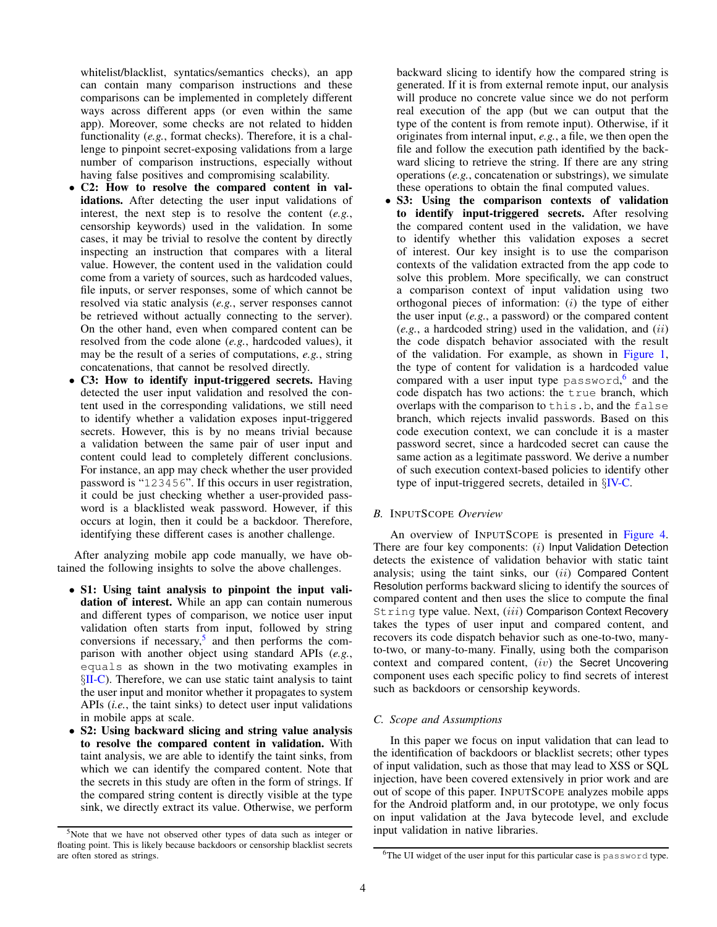whitelist/blacklist, syntatics/semantics checks), an app can contain many comparison instructions and these comparisons can be implemented in completely different ways across different apps (or even within the same app). Moreover, some checks are not related to hidden functionality (*e.g.*, format checks). Therefore, it is a challenge to pinpoint secret-exposing validations from a large number of comparison instructions, especially without having false positives and compromising scalability.

- C2: How to resolve the compared content in validations. After detecting the user input validations of interest, the next step is to resolve the content (*e.g.*, censorship keywords) used in the validation. In some cases, it may be trivial to resolve the content by directly inspecting an instruction that compares with a literal value. However, the content used in the validation could come from a variety of sources, such as hardcoded values, file inputs, or server responses, some of which cannot be resolved via static analysis (*e.g.*, server responses cannot be retrieved without actually connecting to the server). On the other hand, even when compared content can be resolved from the code alone (*e.g.*, hardcoded values), it may be the result of a series of computations, *e.g.*, string concatenations, that cannot be resolved directly.
- C3: How to identify input-triggered secrets. Having detected the user input validation and resolved the content used in the corresponding validations, we still need to identify whether a validation exposes input-triggered secrets. However, this is by no means trivial because a validation between the same pair of user input and content could lead to completely different conclusions. For instance, an app may check whether the user provided password is "123456". If this occurs in user registration, it could be just checking whether a user-provided password is a blacklisted weak password. However, if this occurs at login, then it could be a backdoor. Therefore, identifying these different cases is another challenge.

After analyzing mobile app code manually, we have obtained the following insights to solve the above challenges.

- S1: Using taint analysis to pinpoint the input validation of interest. While an app can contain numerous and different types of comparison, we notice user input validation often starts from input, followed by string conversions if necessary, $5$  and then performs the comparison with another object using standard APIs (*e.g.*, equals as shown in the two motivating examples in §[II-C\)](#page-1-3). Therefore, we can use static taint analysis to taint the user input and monitor whether it propagates to system APIs (*i.e.*, the taint sinks) to detect user input validations in mobile apps at scale.
- S2: Using backward slicing and string value analysis to resolve the compared content in validation. With taint analysis, we are able to identify the taint sinks, from which we can identify the compared content. Note that the secrets in this study are often in the form of strings. If the compared string content is directly visible at the type sink, we directly extract its value. Otherwise, we perform

backward slicing to identify how the compared string is generated. If it is from external remote input, our analysis will produce no concrete value since we do not perform real execution of the app (but we can output that the type of the content is from remote input). Otherwise, if it originates from internal input, *e.g.*, a file, we then open the file and follow the execution path identified by the backward slicing to retrieve the string. If there are any string operations (*e.g.*, concatenation or substrings), we simulate these operations to obtain the final computed values.

• S3: Using the comparison contexts of validation to identify input-triggered secrets. After resolving the compared content used in the validation, we have to identify whether this validation exposes a secret of interest. Our key insight is to use the comparison contexts of the validation extracted from the app code to solve this problem. More specifically, we can construct a comparison context of input validation using two orthogonal pieces of information: (i) the type of either the user input (*e.g.*, a password) or the compared content (*e.g.*, a hardcoded string) used in the validation, and (ii) the code dispatch behavior associated with the result of the validation. For example, as shown in [Figure 1,](#page-2-0) the type of content for validation is a hardcoded value compared with a user input type password,<sup>[6](#page-3-3)</sup> and the code dispatch has two actions: the true branch, which overlaps with the comparison to this.b, and the false branch, which rejects invalid passwords. Based on this code execution context, we can conclude it is a master password secret, since a hardcoded secret can cause the same action as a legitimate password. We derive a number of such execution context-based policies to identify other type of input-triggered secrets, detailed in §[IV-C.](#page-5-0)

# <span id="page-3-0"></span>*B.* INPUTSCOPE *Overview*

An overview of INPUTSCOPE is presented in [Figure 4.](#page-4-0) There are four key components: (i) Input Validation Detection detects the existence of validation behavior with static taint analysis; using the taint sinks, our  $(ii)$  Compared Content Resolution performs backward slicing to identify the sources of compared content and then uses the slice to compute the final String type value. Next, (iii) Comparison Context Recovery takes the types of user input and compared content, and recovers its code dispatch behavior such as one-to-two, manyto-two, or many-to-many. Finally, using both the comparison context and compared content, (iv) the Secret Uncovering component uses each specific policy to find secrets of interest such as backdoors or censorship keywords.

# <span id="page-3-1"></span>*C. Scope and Assumptions*

In this paper we focus on input validation that can lead to the identification of backdoors or blacklist secrets; other types of input validation, such as those that may lead to XSS or SQL injection, have been covered extensively in prior work and are out of scope of this paper. INPUTSCOPE analyzes mobile apps for the Android platform and, in our prototype, we only focus on input validation at the Java bytecode level, and exclude input validation in native libraries.

<span id="page-3-2"></span><sup>5</sup>Note that we have not observed other types of data such as integer or floating point. This is likely because backdoors or censorship blacklist secrets are often stored as strings.

<span id="page-3-3"></span><sup>&</sup>lt;sup>6</sup>The UI widget of the user input for this particular case is password type.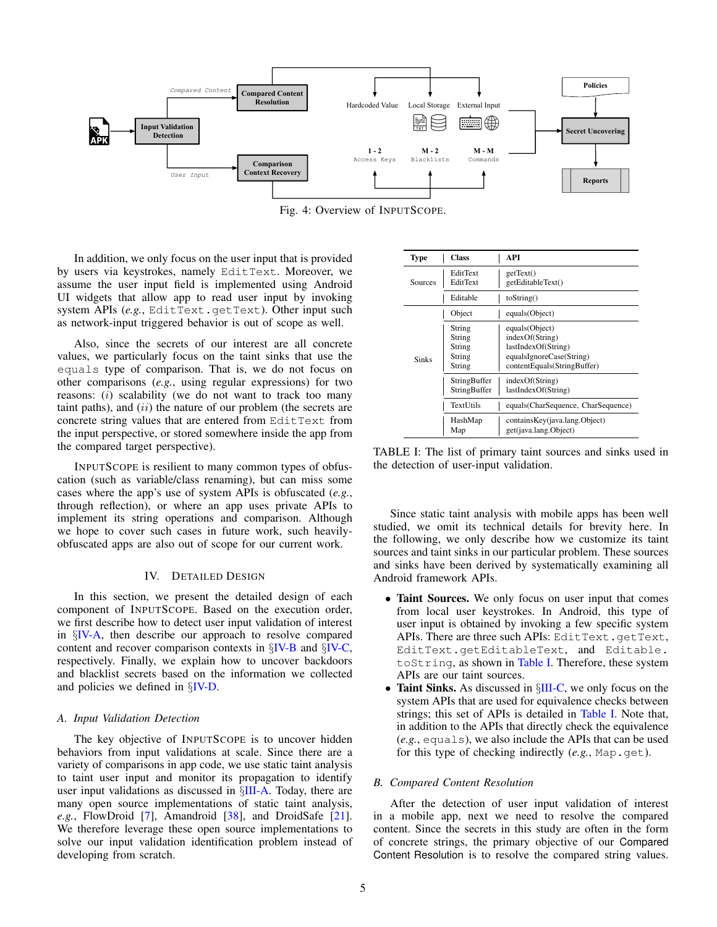<span id="page-4-0"></span>

Fig. 4: Overview of INPUTSCOPE.

In addition, we only focus on the user input that is provided by users via keystrokes, namely EditText. Moreover, we assume the user input field is implemented using Android UI widgets that allow app to read user input by invoking system APIs (e.g., EditText.getText). Other input such as network-input triggered behavior is out of scope as well.

Also, since the secrets of our interest are all concrete values, we particularly focus on the taint sinks that use the equals type of comparison. That is, we do not focus on other comparisons (*e.g.*, using regular expressions) for two reasons: (*i*) scalability (we do not want to track too many taint paths), and  $(ii)$  the nature of our problem (the secrets are concrete string values that are entered from EditText from the input perspective, or stored somewhere inside the app from the compared target perspective).

INPUTSCOPE is resilient to many common types of obfuscation (such as variable/class renaming), but can miss some cases where the app's use of system APIs is obfuscated (*e.g.*, through reflection), or where an app uses private APIs to implement its string operations and comparison. Although we hope to cover such cases in future work, such heavilyobfuscated apps are also out of scope for our current work.

#### IV. DETAILED DESIGN

In this section, we present the detailed design of each component of INPUTSCOPE. Based on the execution order, we first describe how to detect user input validation of interest in §[IV-A,](#page-4-1) then describe our approach to resolve compared content and recover comparison contexts in §[IV-B](#page-4-2) and §[IV-C,](#page-5-0) respectively. Finally, we explain how to uncover backdoors and blacklist secrets based on the information we collected and policies we defined in §[IV-D.](#page-6-0)

#### <span id="page-4-1"></span>*A. Input Validation Detection*

The key objective of INPUTSCOPE is to uncover hidden behaviors from input validations at scale. Since there are a variety of comparisons in app code, we use static taint analysis to taint user input and monitor its propagation to identify user input validations as discussed in §[III-A.](#page-2-4) Today, there are many open source implementations of static taint analysis, *e.g.*, FlowDroid [\[7\]](#page-13-8), Amandroid [\[38\]](#page-14-2), and DroidSafe [\[21\]](#page-13-9). We therefore leverage these open source implementations to solve our input validation identification problem instead of developing from scratch.

<span id="page-4-3"></span>

| Type         | Class                                          | API                                                                                                                 |
|--------------|------------------------------------------------|---------------------------------------------------------------------------------------------------------------------|
| Sources      | EditText<br>EditText                           | getText()<br>getEditableText()                                                                                      |
|              | Editable                                       | toString()                                                                                                          |
|              | Object                                         | equals(Object)                                                                                                      |
| <b>Sinks</b> | String<br>String<br>String<br>String<br>String | equals(Object)<br>indexOf(String)<br>lastIndexOf(String)<br>equalsIgnoreCase(String)<br>contentEquals(StringBuffer) |
|              | StringBuffer<br>StringBuffer                   | indexOf(String)<br>lastIndexOf(String)                                                                              |
|              | TextUtils                                      | equals(CharSequence, CharSequence)                                                                                  |
|              | HashMap<br>Map                                 | containsKey(java.lang.Object)<br>get(java.lang.Object)                                                              |

TABLE I: The list of primary taint sources and sinks used in the detection of user-input validation.

Since static taint analysis with mobile apps has been well studied, we omit its technical details for brevity here. In the following, we only describe how we customize its taint sources and taint sinks in our particular problem. These sources and sinks have been derived by systematically examining all Android framework APIs.

- Taint Sources. We only focus on user input that comes from local user keystrokes. In Android, this type of user input is obtained by invoking a few specific system APIs. There are three such APIs: EditText.getText, EditText.getEditableText, and Editable. toString, as shown in [Table I.](#page-4-3) Therefore, these system APIs are our taint sources.
- Taint Sinks. As discussed in  $\S$ [III-C,](#page-3-1) we only focus on the system APIs that are used for equivalence checks between strings; this set of APIs is detailed in [Table I.](#page-4-3) Note that, in addition to the APIs that directly check the equivalence (*e.g.*, equals), we also include the APIs that can be used for this type of checking indirectly (e.g., Map.get).

#### <span id="page-4-2"></span>*B. Compared Content Resolution*

After the detection of user input validation of interest in a mobile app, next we need to resolve the compared content. Since the secrets in this study are often in the form of concrete strings, the primary objective of our Compared Content Resolution is to resolve the compared string values.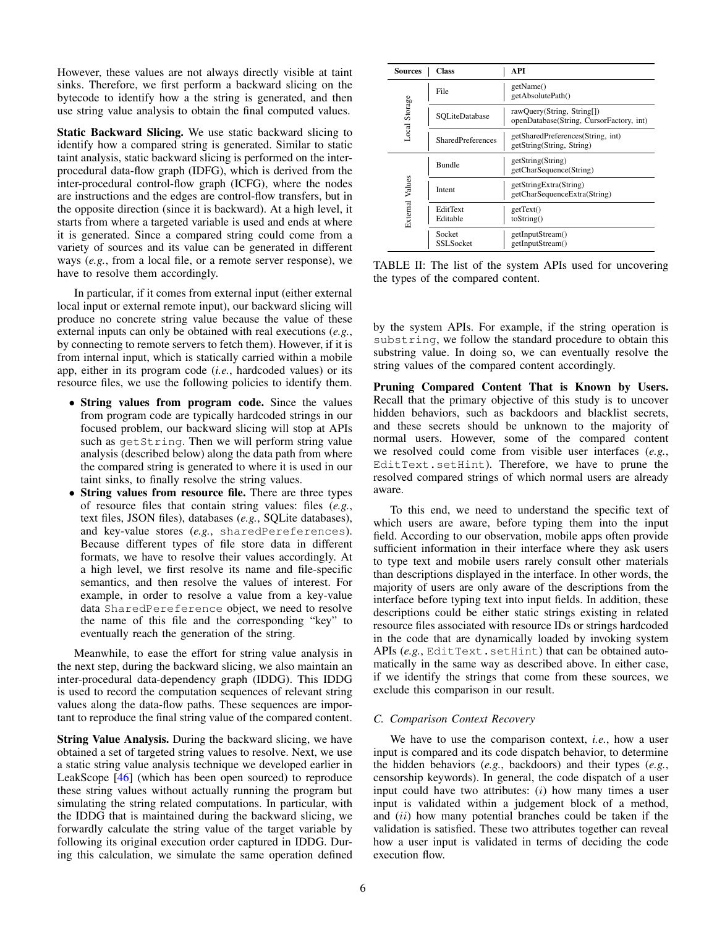However, these values are not always directly visible at taint sinks. Therefore, we first perform a backward slicing on the bytecode to identify how a the string is generated, and then use string value analysis to obtain the final computed values.

Static Backward Slicing. We use static backward slicing to identify how a compared string is generated. Similar to static taint analysis, static backward slicing is performed on the interprocedural data-flow graph (IDFG), which is derived from the inter-procedural control-flow graph (ICFG), where the nodes are instructions and the edges are control-flow transfers, but in the opposite direction (since it is backward). At a high level, it starts from where a targeted variable is used and ends at where it is generated. Since a compared string could come from a variety of sources and its value can be generated in different ways (*e.g.*, from a local file, or a remote server response), we have to resolve them accordingly.

In particular, if it comes from external input (either external local input or external remote input), our backward slicing will produce no concrete string value because the value of these external inputs can only be obtained with real executions (*e.g.*, by connecting to remote servers to fetch them). However, if it is from internal input, which is statically carried within a mobile app, either in its program code (*i.e.*, hardcoded values) or its resource files, we use the following policies to identify them.

- String values from program code. Since the values from program code are typically hardcoded strings in our focused problem, our backward slicing will stop at APIs such as getString. Then we will perform string value analysis (described below) along the data path from where the compared string is generated to where it is used in our taint sinks, to finally resolve the string values.
- String values from resource file. There are three types of resource files that contain string values: files (*e.g.*, text files, JSON files), databases (*e.g.*, SQLite databases), and key-value stores (*e.g.*, sharedPereferences). Because different types of file store data in different formats, we have to resolve their values accordingly. At a high level, we first resolve its name and file-specific semantics, and then resolve the values of interest. For example, in order to resolve a value from a key-value data SharedPereference object, we need to resolve the name of this file and the corresponding "key" to eventually reach the generation of the string.

Meanwhile, to ease the effort for string value analysis in the next step, during the backward slicing, we also maintain an inter-procedural data-dependency graph (IDDG). This IDDG is used to record the computation sequences of relevant string values along the data-flow paths. These sequences are important to reproduce the final string value of the compared content.

String Value Analysis. During the backward slicing, we have obtained a set of targeted string values to resolve. Next, we use a static string value analysis technique we developed earlier in LeakScope [\[46\]](#page-14-3) (which has been open sourced) to reproduce these string values without actually running the program but simulating the string related computations. In particular, with the IDDG that is maintained during the backward slicing, we forwardly calculate the string value of the target variable by following its original execution order captured in IDDG. During this calculation, we simulate the same operation defined

| <b>Sources</b>  | Class                      | API                                                                    |  |  |  |  |  |
|-----------------|----------------------------|------------------------------------------------------------------------|--|--|--|--|--|
|                 | File                       | getName()<br>getAbsolutePath()                                         |  |  |  |  |  |
| Local Storage   | SOLiteDatabase             | rawQuery(String, String[])<br>openDatabase(String, CursorFactory, int) |  |  |  |  |  |
|                 | <b>SharedPreferences</b>   | getSharedPreferences(String, int)<br>getString(String, String)         |  |  |  |  |  |
|                 | <b>Bundle</b>              | getString(String)<br>getCharSequence(String)                           |  |  |  |  |  |
|                 | Intent                     | getStringExtra(String)<br>getCharSequenceExtra(String)                 |  |  |  |  |  |
| External Values | EditText<br>Editable       | getText()<br>toString()                                                |  |  |  |  |  |
|                 | Socket<br><b>SSLSocket</b> | getInputStream()<br>getInputStream()                                   |  |  |  |  |  |

TABLE II: The list of the system APIs used for uncovering the types of the compared content.

by the system APIs. For example, if the string operation is substring, we follow the standard procedure to obtain this substring value. In doing so, we can eventually resolve the string values of the compared content accordingly.

Pruning Compared Content That is Known by Users. Recall that the primary objective of this study is to uncover hidden behaviors, such as backdoors and blacklist secrets, and these secrets should be unknown to the majority of normal users. However, some of the compared content we resolved could come from visible user interfaces (*e.g.*, EditText.setHint). Therefore, we have to prune the resolved compared strings of which normal users are already aware.

To this end, we need to understand the specific text of which users are aware, before typing them into the input field. According to our observation, mobile apps often provide sufficient information in their interface where they ask users to type text and mobile users rarely consult other materials than descriptions displayed in the interface. In other words, the majority of users are only aware of the descriptions from the interface before typing text into input fields. In addition, these descriptions could be either static strings existing in related resource files associated with resource IDs or strings hardcoded in the code that are dynamically loaded by invoking system APIs (e.g., EditText.setHint) that can be obtained automatically in the same way as described above. In either case, if we identify the strings that come from these sources, we exclude this comparison in our result.

## <span id="page-5-0"></span>*C. Comparison Context Recovery*

We have to use the comparison context, *i.e.*, how a user input is compared and its code dispatch behavior, to determine the hidden behaviors (*e.g.*, backdoors) and their types (*e.g.*, censorship keywords). In general, the code dispatch of a user input could have two attributes:  $(i)$  how many times a user input is validated within a judgement block of a method, and (ii) how many potential branches could be taken if the validation is satisfied. These two attributes together can reveal how a user input is validated in terms of deciding the code execution flow.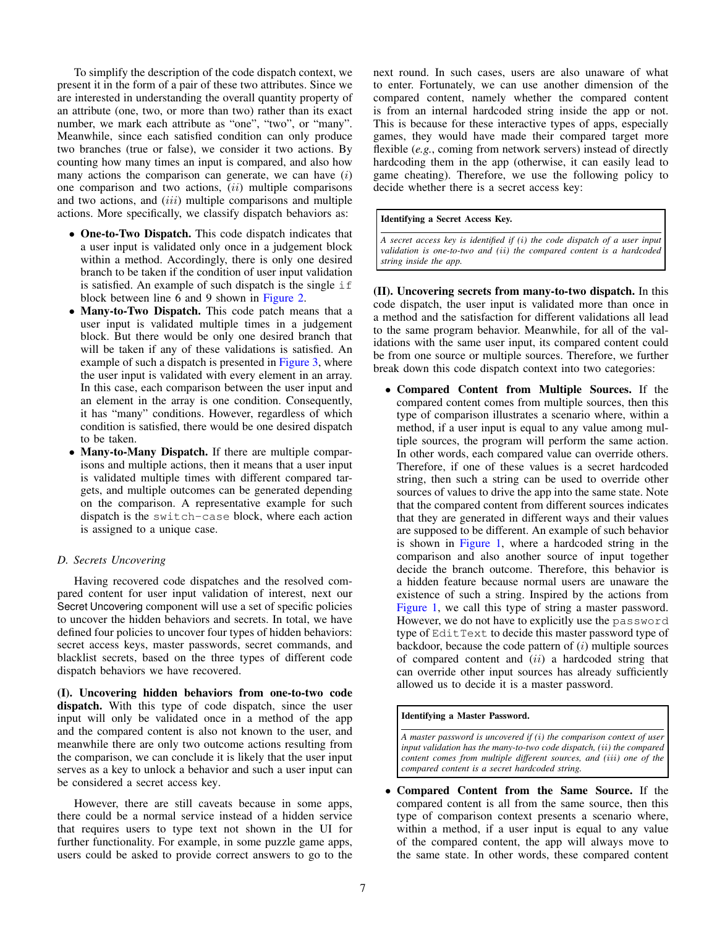To simplify the description of the code dispatch context, we present it in the form of a pair of these two attributes. Since we are interested in understanding the overall quantity property of an attribute (one, two, or more than two) rather than its exact number, we mark each attribute as "one", "two", or "many". Meanwhile, since each satisfied condition can only produce two branches (true or false), we consider it two actions. By counting how many times an input is compared, and also how many actions the comparison can generate, we can have  $(i)$ one comparison and two actions,  $(ii)$  multiple comparisons and two actions, and *(iii)* multiple comparisons and multiple actions. More specifically, we classify dispatch behaviors as:

- One-to-Two Dispatch. This code dispatch indicates that a user input is validated only once in a judgement block within a method. Accordingly, there is only one desired branch to be taken if the condition of user input validation is satisfied. An example of such dispatch is the single if block between line 6 and 9 shown in [Figure 2.](#page-2-1)
- Many-to-Two Dispatch. This code patch means that a user input is validated multiple times in a judgement block. But there would be only one desired branch that will be taken if any of these validations is satisfied. An example of such a dispatch is presented in [Figure 3,](#page-2-3) where the user input is validated with every element in an array. In this case, each comparison between the user input and an element in the array is one condition. Consequently, it has "many" conditions. However, regardless of which condition is satisfied, there would be one desired dispatch to be taken.
- Many-to-Many Dispatch. If there are multiple comparisons and multiple actions, then it means that a user input is validated multiple times with different compared targets, and multiple outcomes can be generated depending on the comparison. A representative example for such dispatch is the switch-case block, where each action is assigned to a unique case.

# <span id="page-6-0"></span>*D. Secrets Uncovering*

Having recovered code dispatches and the resolved compared content for user input validation of interest, next our Secret Uncovering component will use a set of specific policies to uncover the hidden behaviors and secrets. In total, we have defined four policies to uncover four types of hidden behaviors: secret access keys, master passwords, secret commands, and blacklist secrets, based on the three types of different code dispatch behaviors we have recovered.

(I). Uncovering hidden behaviors from one-to-two code dispatch. With this type of code dispatch, since the user input will only be validated once in a method of the app and the compared content is also not known to the user, and meanwhile there are only two outcome actions resulting from the comparison, we can conclude it is likely that the user input serves as a key to unlock a behavior and such a user input can be considered a secret access key.

However, there are still caveats because in some apps, there could be a normal service instead of a hidden service that requires users to type text not shown in the UI for further functionality. For example, in some puzzle game apps, users could be asked to provide correct answers to go to the next round. In such cases, users are also unaware of what to enter. Fortunately, we can use another dimension of the compared content, namely whether the compared content is from an internal hardcoded string inside the app or not. This is because for these interactive types of apps, especially games, they would have made their compared target more flexible (*e.g.*, coming from network servers) instead of directly hardcoding them in the app (otherwise, it can easily lead to game cheating). Therefore, we use the following policy to decide whether there is a secret access key:

### Identifying a Secret Access Key.

*A secret access key is identified if (*i*) the code dispatch of a user input validation is one-to-two and (*ii*) the compared content is a hardcoded string inside the app.*

(II). Uncovering secrets from many-to-two dispatch. In this code dispatch, the user input is validated more than once in a method and the satisfaction for different validations all lead to the same program behavior. Meanwhile, for all of the validations with the same user input, its compared content could be from one source or multiple sources. Therefore, we further break down this code dispatch context into two categories:

• Compared Content from Multiple Sources. If the compared content comes from multiple sources, then this type of comparison illustrates a scenario where, within a method, if a user input is equal to any value among multiple sources, the program will perform the same action. In other words, each compared value can override others. Therefore, if one of these values is a secret hardcoded string, then such a string can be used to override other sources of values to drive the app into the same state. Note that the compared content from different sources indicates that they are generated in different ways and their values are supposed to be different. An example of such behavior is shown in [Figure 1,](#page-2-0) where a hardcoded string in the comparison and also another source of input together decide the branch outcome. Therefore, this behavior is a hidden feature because normal users are unaware the existence of such a string. Inspired by the actions from [Figure 1,](#page-2-0) we call this type of string a master password. However, we do not have to explicitly use the password type of EditText to decide this master password type of backdoor, because the code pattern of  $(i)$  multiple sources of compared content and  $(ii)$  a hardcoded string that can override other input sources has already sufficiently allowed us to decide it is a master password.

## Identifying a Master Password.

*A master password is uncovered if (*i*) the comparison context of user input validation has the many-to-two code dispatch, (*ii*) the compared content comes from multiple different sources, and (*iii*) one of the compared content is a secret hardcoded string.*

• Compared Content from the Same Source. If the compared content is all from the same source, then this type of comparison context presents a scenario where, within a method, if a user input is equal to any value of the compared content, the app will always move to the same state. In other words, these compared content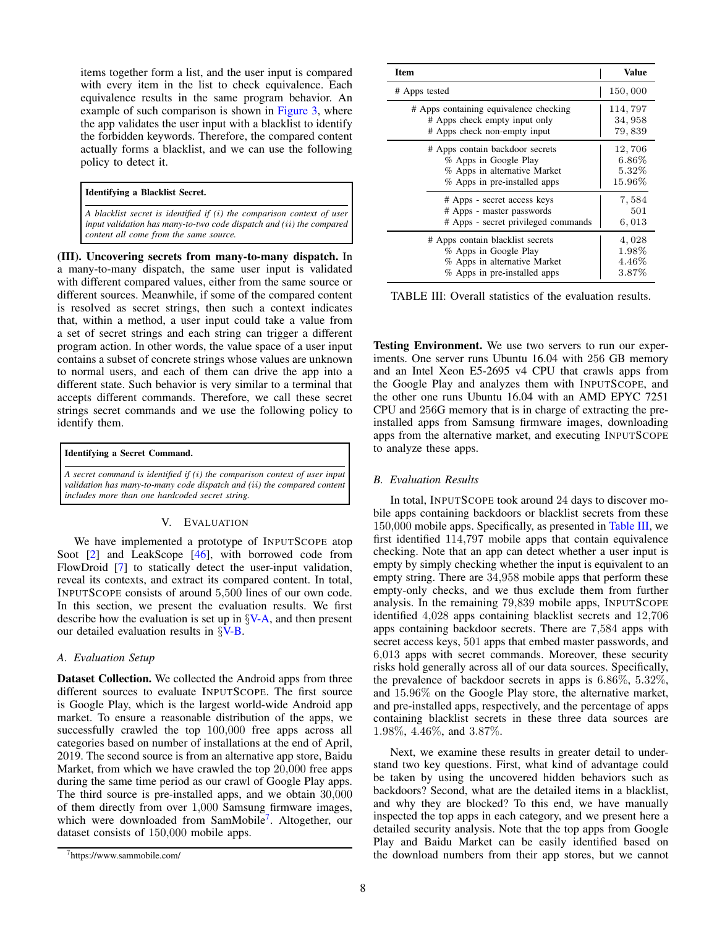items together form a list, and the user input is compared with every item in the list to check equivalence. Each equivalence results in the same program behavior. An example of such comparison is shown in [Figure 3,](#page-2-3) where the app validates the user input with a blacklist to identify the forbidden keywords. Therefore, the compared content actually forms a blacklist, and we can use the following policy to detect it.

### Identifying a Blacklist Secret.

*A blacklist secret is identified if (*i*) the comparison context of user input validation has many-to-two code dispatch and (*ii*) the compared content all come from the same source.*

(III). Uncovering secrets from many-to-many dispatch. In a many-to-many dispatch, the same user input is validated with different compared values, either from the same source or different sources. Meanwhile, if some of the compared content is resolved as secret strings, then such a context indicates that, within a method, a user input could take a value from a set of secret strings and each string can trigger a different program action. In other words, the value space of a user input contains a subset of concrete strings whose values are unknown to normal users, and each of them can drive the app into a different state. Such behavior is very similar to a terminal that accepts different commands. Therefore, we call these secret strings secret commands and we use the following policy to identify them.

| Identifying a Secret Command.                                                                                                                                                                                |
|--------------------------------------------------------------------------------------------------------------------------------------------------------------------------------------------------------------|
| A secret command is identified if $(i)$ the comparison context of user input<br>validation has many-to-many code dispatch and (ii) the compared content<br>  includes more than one hardcoded secret string. |

# V. EVALUATION

We have implemented a prototype of INPUTSCOPE atop Soot  $[2]$  and LeakScope  $[46]$ , with borrowed code from FlowDroid [\[7\]](#page-13-8) to statically detect the user-input validation, reveal its contexts, and extract its compared content. In total, INPUTSCOPE consists of around 5,500 lines of our own code. In this section, we present the evaluation results. We first describe how the evaluation is set up in  $\frac{S}{V-A}$ , and then present our detailed evaluation results in  $\S$ [V-B.](#page-7-1)

# <span id="page-7-0"></span>*A. Evaluation Setup*

Dataset Collection. We collected the Android apps from three different sources to evaluate INPUTSCOPE. The first source is Google Play, which is the largest world-wide Android app market. To ensure a reasonable distribution of the apps, we successfully crawled the top 100,000 free apps across all categories based on number of installations at the end of April, 2019. The second source is from an alternative app store, Baidu Market, from which we have crawled the top 20,000 free apps during the same time period as our crawl of Google Play apps. The third source is pre-installed apps, and we obtain 30,000 of them directly from over 1,000 Samsung firmware images, which were downloaded from SamMobile<sup>[7](#page-7-2)</sup>. Altogether, our dataset consists of 150,000 mobile apps.

<span id="page-7-3"></span>

| <b>Item</b>                            | Value    |
|----------------------------------------|----------|
| # Apps tested                          | 150,000  |
| # Apps containing equivalence checking | 114,797  |
| # Apps check empty input only          | 34, 958  |
| # Apps check non-empty input           | 79,839   |
| # Apps contain backdoor secrets        | 12,706   |
| % Apps in Google Play                  | $6.86\%$ |
| % Apps in alternative Market           | $5.32\%$ |
| % Apps in pre-installed apps           | 15.96%   |
| # Apps - secret access keys            | 7,584    |
| # Apps - master passwords              | 501      |
| # Apps - secret privileged commands    | 6,013    |
| # Apps contain blacklist secrets       | 4,028    |
| % Apps in Google Play                  | 1.98%    |
| % Apps in alternative Market           | $4.46\%$ |
| % Apps in pre-installed apps           | 3.87%    |

TABLE III: Overall statistics of the evaluation results.

Testing Environment. We use two servers to run our experiments. One server runs Ubuntu 16.04 with 256 GB memory and an Intel Xeon E5-2695 v4 CPU that crawls apps from the Google Play and analyzes them with INPUTSCOPE, and the other one runs Ubuntu 16.04 with an AMD EPYC 7251 CPU and 256G memory that is in charge of extracting the preinstalled apps from Samsung firmware images, downloading apps from the alternative market, and executing INPUTSCOPE to analyze these apps.

# <span id="page-7-1"></span>*B. Evaluation Results*

In total, INPUTSCOPE took around 24 days to discover mobile apps containing backdoors or blacklist secrets from these 150,000 mobile apps. Specifically, as presented in [Table III,](#page-7-3) we first identified 114,797 mobile apps that contain equivalence checking. Note that an app can detect whether a user input is empty by simply checking whether the input is equivalent to an empty string. There are 34,958 mobile apps that perform these empty-only checks, and we thus exclude them from further analysis. In the remaining 79,839 mobile apps, INPUTSCOPE identified 4,028 apps containing blacklist secrets and 12,706 apps containing backdoor secrets. There are 7,584 apps with secret access keys, 501 apps that embed master passwords, and 6,013 apps with secret commands. Moreover, these security risks hold generally across all of our data sources. Specifically, the prevalence of backdoor secrets in apps is 6.86%, 5.32%, and 15.96% on the Google Play store, the alternative market, and pre-installed apps, respectively, and the percentage of apps containing blacklist secrets in these three data sources are 1.98%, 4.46%, and 3.87%.

Next, we examine these results in greater detail to understand two key questions. First, what kind of advantage could be taken by using the uncovered hidden behaviors such as backdoors? Second, what are the detailed items in a blacklist, and why they are blocked? To this end, we have manually inspected the top apps in each category, and we present here a detailed security analysis. Note that the top apps from Google Play and Baidu Market can be easily identified based on the download numbers from their app stores, but we cannot

<span id="page-7-2"></span><sup>7</sup>https://www.sammobile.com/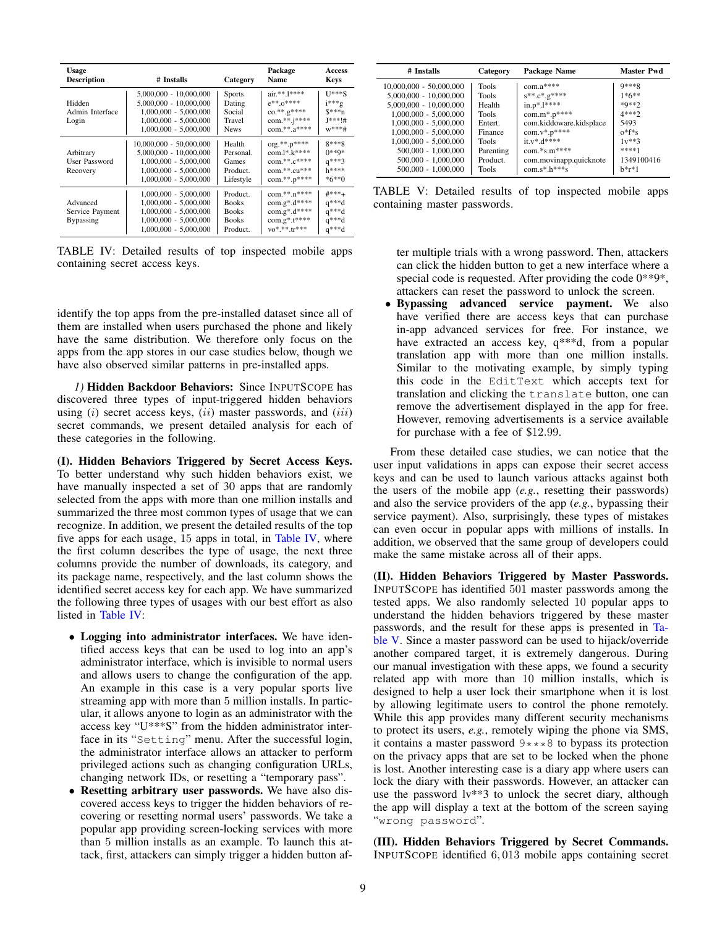<span id="page-8-0"></span>

| <b>Usage</b><br><b>Description</b>              | # Installs                                                                                                                             | Category                                                             | Package<br>Name                                                                            | <b>Access</b><br><b>Keys</b>                          |
|-------------------------------------------------|----------------------------------------------------------------------------------------------------------------------------------------|----------------------------------------------------------------------|--------------------------------------------------------------------------------------------|-------------------------------------------------------|
| Hidden<br>Admin Interface<br>Login              | $5,000,000 - 10,000,000$<br>5,000,000 - 10,000,000<br>$1,000,000 - 5,000,000$<br>$1,000,000 - 5,000,000$<br>$1,000,000 - 5,000,000$    | <b>Sports</b><br>Dating<br>Social<br>Travel<br><b>News</b>           | air.**.1****<br>$e^{***}$ . $0***$<br>co.**.g****<br>com.**.j****<br>com.**.a****          | $U^{***}S$<br>$i***g$<br>$S***n$<br>J***!#<br>$w***#$ |
| Arbitrary<br>User Password<br>Recovery          | $10,000,000 - 50,000,000$<br>$5,000,000 - 10,000,000$<br>$1.000.000 - 5.000.000$<br>$1,000,000 - 5,000,000$<br>$1,000,000 - 5,000,000$ | Health<br>Personal.<br>Games<br>Product.<br>Lifestyle                | $org.**.p***$<br>$com.l^*.k^{****}$<br>$com.**.c***$<br>com.**.cu***<br>$com.**.p***$      | 8***8<br>$0***9*$<br>$q***3$<br>$h***$<br>$*6**0$     |
| Advanced<br>Service Payment<br><b>Bypassing</b> | $1,000,000 - 5,000,000$<br>$1,000,000 - 5,000,000$<br>$1,000,000 - 5,000,000$<br>$1,000,000 - 5,000,000$<br>$1,000,000 - 5,000,000$    | Product.<br><b>Books</b><br><b>Books</b><br><b>Books</b><br>Product. | com.**.n****<br>$com.g*.d***$<br>$com.g*.d***$<br>$com.g*.t***$<br>$\mathbf{v}^*$ **.tr*** | $\#***+$<br>$q***d$<br>$q***d$<br>$q***d$<br>$q***d$  |

TABLE IV: Detailed results of top inspected mobile apps containing secret access keys.

identify the top apps from the pre-installed dataset since all of them are installed when users purchased the phone and likely have the same distribution. We therefore only focus on the apps from the app stores in our case studies below, though we have also observed similar patterns in pre-installed apps.

1) Hidden Backdoor Behaviors: Since INPUTSCOPE has discovered three types of input-triggered hidden behaviors using  $(i)$  secret access keys,  $(ii)$  master passwords, and  $(iii)$ secret commands, we present detailed analysis for each of these categories in the following.

(I). Hidden Behaviors Triggered by Secret Access Keys. To better understand why such hidden behaviors exist, we have manually inspected a set of 30 apps that are randomly selected from the apps with more than one million installs and summarized the three most common types of usage that we can recognize. In addition, we present the detailed results of the top five apps for each usage, 15 apps in total, in Table IV, where the first column describes the type of usage, the next three columns provide the number of downloads, its category, and its package name, respectively, and the last column shows the identified secret access key for each app. We have summarized the following three types of usages with our best effort as also listed in Table IV:

- Logging into administrator interfaces. We have identified access keys that can be used to log into an app's administrator interface, which is invisible to normal users and allows users to change the configuration of the app. An example in this case is a very popular sports live streaming app with more than 5 million installs. In particular, it allows anyone to login as an administrator with the access key "U\*\*\*S" from the hidden administrator interface in its "Setting" menu. After the successful login, the administrator interface allows an attacker to perform privileged actions such as changing configuration URLs, changing network IDs, or resetting a "temporary pass".
- Resetting arbitrary user passwords. We have also discovered access keys to trigger the hidden behaviors of recovering or resetting normal users' passwords. We take a popular app providing screen-locking services with more than 5 million installs as an example. To launch this attack, first, attackers can simply trigger a hidden button af-

<span id="page-8-1"></span>

| # Installs                                                                                                                                                                                                                                    | Category                                                                                                | Package Name                                                                                                                                                                     | <b>Master Pwd</b>                                                                                                         |
|-----------------------------------------------------------------------------------------------------------------------------------------------------------------------------------------------------------------------------------------------|---------------------------------------------------------------------------------------------------------|----------------------------------------------------------------------------------------------------------------------------------------------------------------------------------|---------------------------------------------------------------------------------------------------------------------------|
| 10,000,000 - 50,000,000<br>$5,000,000 - 10,000,000$<br>$5,000,000 - 10,000,000$<br>$1,000,000 - 5,000,000$<br>$1,000,000 - 5,000,000$<br>$1,000,000 - 5,000,000$<br>$1,000,000 - 5,000,000$<br>$500,000 - 1,000,000$<br>$500,000 - 1,000,000$ | Tools<br><b>Tools</b><br>Health<br><b>Tools</b><br>Entert.<br>Finance<br>Tools<br>Parenting<br>Product. | $com.a***$<br>$s^{**}.c^*.g^{****}$<br>$in.p*.1***$<br>$com.m*.p***$<br>com.kiddoware.kidsplace<br>$com.v^*.p^{****}$<br>$it.v*.d***$<br>$com.*s.m***$<br>com.movinapp.quicknote | $9***8$<br>$1 * 6 * *$<br>$*Q**2$<br>4***?<br>5493<br>$0$ <sup>*<math>f</math>*s</sup><br>$1v***3$<br>****1<br>1349100416 |
| $500,000 - 1,000,000$                                                                                                                                                                                                                         | Tools                                                                                                   | $com.s*.h***s$                                                                                                                                                                   | $h*r*1$                                                                                                                   |

TABLE V: Detailed results of top inspected mobile apps containing master passwords.

ter multiple trials with a wrong password. Then, attackers can click the hidden button to get a new interface where a special code is requested. After providing the code  $0^{**}9^*$ , attackers can reset the password to unlock the screen.

Bypassing advanced service payment. We also have verified there are access keys that can purchase in-app advanced services for free. For instance, we have extracted an access key, q\*\*\*d, from a popular translation app with more than one million installs. Similar to the motivating example, by simply typing this code in the EditText which accepts text for translation and clicking the translate button, one can remove the advertisement displayed in the app for free. However, removing advertisements is a service available for purchase with a fee of \$12.99.

From these detailed case studies, we can notice that the user input validations in apps can expose their secret access keys and can be used to launch various attacks against both the users of the mobile app  $(e.g.,$  resetting their passwords) and also the service providers of the app  $(e.g., by passing their$ service payment). Also, surprisingly, these types of mistakes can even occur in popular apps with millions of installs. In addition, we observed that the same group of developers could make the same mistake across all of their apps.

(II). Hidden Behaviors Triggered by Master Passwords. INPUTSCOPE has identified 501 master passwords among the tested apps. We also randomly selected 10 popular apps to understand the hidden behaviors triggered by these master passwords, and the result for these apps is presented in Table V. Since a master password can be used to hijack/override another compared target, it is extremely dangerous. During our manual investigation with these apps, we found a security related app with more than 10 million installs, which is designed to help a user lock their smartphone when it is lost by allowing legitimate users to control the phone remotely. While this app provides many different security mechanisms to protect its users, e.g., remotely wiping the phone via SMS, it contains a master password  $9***8$  to bypass its protection on the privacy apps that are set to be locked when the phone is lost. Another interesting case is a diary app where users can lock the diary with their passwords. However, an attacker can use the password  $lv$ \*\*3 to unlock the secret diary, although the app will display a text at the bottom of the screen saying "wrong password".

(III). Hidden Behaviors Triggered by Secret Commands. INPUTSCOPE identified 6,013 mobile apps containing secret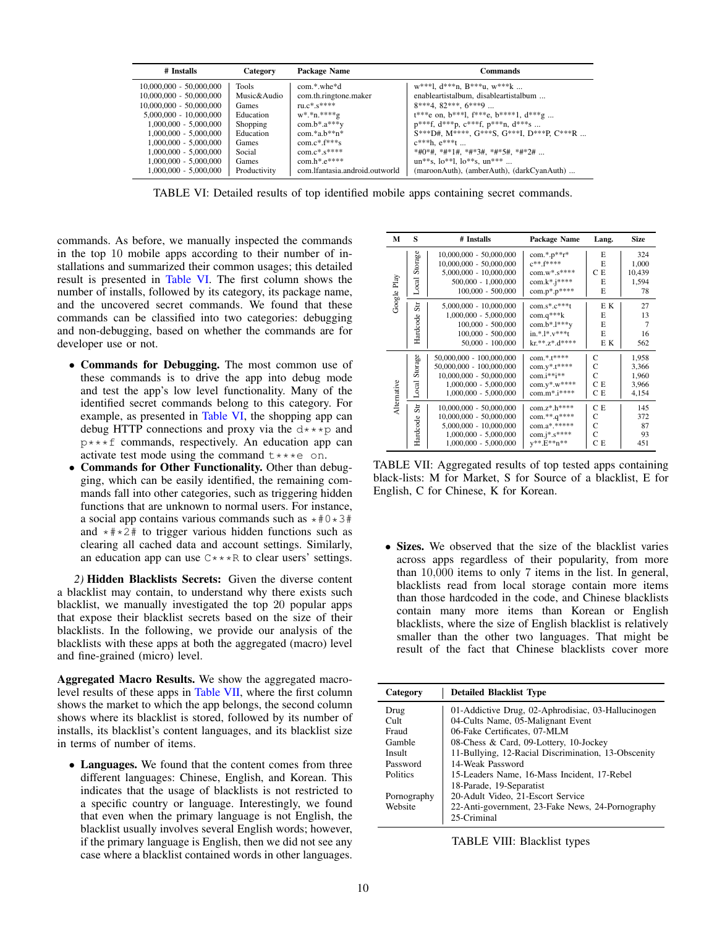<span id="page-9-0"></span>

| # Installs                | Category     | Package Name                   | <b>Commands</b>                                                    |
|---------------------------|--------------|--------------------------------|--------------------------------------------------------------------|
| $10,000,000 - 50,000,000$ | Tools        | $com.*$ whe $*d$               | $w^{***}$ l. d***n. B***u. $w^{***}$ k                             |
| $10,000,000 - 50,000,000$ | Music&Audio  | com.th.ringtone.maker          | enableartistalbum, disableartistalbum                              |
| $10,000,000 - 50,000,000$ | Games        | $ru.c*.s***$                   | $8***4, 82***, 6***9$                                              |
| $5.000.000 - 10.000.000$  | Education    | $W^*.*n.****g$                 | $t^{***}$ e on, $b^{***}$ l, $f^{***}$ e, $b^{***}$ l, $d^{***}$ g |
| 1,000,000 - 5,000,000     | Shopping     | $com.b*.a***y$                 | $p^{***}f$ , $d^{***}p$ , $c^{***}f$ , $p^{***}n$ , $d^{***}s$     |
| 1,000,000 - 5,000,000     | Education    | $com.*a.b**n*$                 | S***D#, M****, G***S, G***I, D***P. C***R                          |
| 1,000,000 - 5,000,000     | Games        | $com.c*.f***s$                 | $c***h. e***t$                                                     |
| 1,000,000 - 5,000,000     | Social       | $com.c*.s***$                  | *#0*#, *#*1#, *#*3#, *#*5#, *#*2#                                  |
| 1,000,000 - 5,000,000     | Games        | $com.h*.e***$                  | $un***s. 10***1.10***s. un***$                                     |
| 1,000,000 - 5,000,000     | Productivity | com.lfantasia.android.outworld | (maroonAuth), (amberAuth), (darkCyanAuth)                          |

TABLE VI: Detailed results of top identified mobile apps containing secret commands.

commands. As before, we manually inspected the commands in the top 10 mobile apps according to their number of installations and summarized their common usages; this detailed result is presented in Table VI. The first column shows the number of installs, followed by its category, its package name, and the uncovered secret commands. We found that these commands can be classified into two categories: debugging and non-debugging, based on whether the commands are for developer use or not.

- Commands for Debugging. The most common use of these commands is to drive the app into debug mode and test the app's low level functionality. Many of the identified secret commands belong to this category. For example, as presented in Table VI, the shopping app can debug HTTP connections and proxy via the  $d***p$  and  $p***f$  commands, respectively. An education app can activate test mode using the command  $t***e$  on.
- Commands for Other Functionality. Other than debugging, which can be easily identified, the remaining commands fall into other categories, such as triggering hidden functions that are unknown to normal users. For instance, a social app contains various commands such as  $*#0*3#$ and  $*#*2#$  to trigger various hidden functions such as clearing all cached data and account settings. Similarly, an education app can use  $C$ \*\*\*R to clear users' settings.

2) Hidden Blacklists Secrets: Given the diverse content a blacklist may contain, to understand why there exists such blacklist, we manually investigated the top 20 popular apps that expose their blacklist secrets based on the size of their blacklists. In the following, we provide our analysis of the blacklists with these apps at both the aggregated (macro) level and fine-grained (micro) level.

**Aggregated Macro Results.** We show the aggregated macrolevel results of these apps in Table VII, where the first column shows the market to which the app belongs, the second column shows where its blacklist is stored, followed by its number of installs, its blacklist's content languages, and its blacklist size in terms of number of items.

• Languages. We found that the content comes from three different languages: Chinese, English, and Korean. This indicates that the usage of blacklists is not restricted to a specific country or language. Interestingly, we found that even when the primary language is not English, the blacklist usually involves several English words; however, if the primary language is English, then we did not see any case where a blacklist contained words in other languages.

<span id="page-9-1"></span>

| м           | S               | # Installs                | Package Name           | Lang. | <b>Size</b> |
|-------------|-----------------|---------------------------|------------------------|-------|-------------|
|             | Storage         | $10,000,000 - 50,000,000$ | $com.*.p**r*$          | E     | 324         |
|             |                 | $10,000,000 - 50,000,000$ | $C***$ f****           | E     | 1,000       |
|             |                 | $5,000,000 - 10,000,000$  | $com.w^*.s^{****}$     | CЕ    | 10,439      |
|             | Local           | $500,000 - 1,000,000$     | $com.k^*$ . $j^{****}$ | E     | 1,594       |
|             |                 | $100,000 - 500,000$       | $com.p*.p***$          | E     | 78          |
| Google Play | $_{\rm sr}$     | $5,000,000 - 10,000,000$  | $com.s*.c***t$         | E K   | 27          |
|             |                 | $1,000,000 - 5,000,000$   | $com.q***k$            | E     | 13          |
|             | Hardcode        | $100,000 - 500,000$       | com.b*. $l***v$        | E     | 7           |
|             |                 | $100,000 - 500,000$       | $in.*.1*.v***t$        | E     | 16          |
|             |                 | $50,000 - 100,000$        | $kr** z* d***$         | E K   | 562         |
|             | Storage         | 50,000,000 - 100,000,000  | $com.* .t***$          | C     | 1,958       |
|             |                 | 50,000,000 - 100,000,000  | $com.y^*.t^{****}$     | C     | 3,366       |
|             |                 | $10,000,000 - 50,000,000$ | $com.i**i**$           | C     | 1,960       |
|             | Local           | $1,000,000 - 5,000,000$   | $com.y^*.W^{****}$     | C E   | 3,966       |
|             |                 | $1,000,000 - 5,000,000$   | $comm. m^* . i^{****}$ | С Е   | 4,154       |
| Alternative | S <sub>tr</sub> | $10,000,000 - 50,000,000$ | $com. z^* . h^{****}$  | CЕ    | 145         |
|             |                 | $10,000,000 - 50,000,000$ | $com.**.q***$          | C     | 372         |
|             | Hardcode        | $5,000,000 - 10,000,000$  | com.a*.*****           | C     | 87          |
|             |                 | $1,000,000 - 5,000,000$   | $com. j^* . s^{****}$  | C     | 93          |
|             |                 | $1,000,000 - 5,000,000$   | $v^{**}E^{**}n^{**}$   | CЕ    | 451         |

TABLE VII: Aggregated results of top tested apps containing black-lists: M for Market, S for Source of a blacklist, E for English, C for Chinese, K for Korean.

• Sizes. We observed that the size of the blacklist varies across apps regardless of their popularity, from more than  $10,000$  items to only 7 items in the list. In general, blacklists read from local storage contain more items than those hardcoded in the code, and Chinese blacklists contain many more items than Korean or English blacklists, where the size of English blacklist is relatively smaller than the other two languages. That might be result of the fact that Chinese blacklists cover more

<span id="page-9-2"></span>

| Category    | <b>Detailed Blacklist Type</b>                      |  |  |  |  |  |  |  |  |
|-------------|-----------------------------------------------------|--|--|--|--|--|--|--|--|
| Drug        | 01-Addictive Drug, 02-Aphrodisiac, 03-Hallucinogen  |  |  |  |  |  |  |  |  |
| $Cu$ lt     | 04-Cults Name, 05-Malignant Event                   |  |  |  |  |  |  |  |  |
| Frand       | 06-Fake Certificates, 07-MLM                        |  |  |  |  |  |  |  |  |
| Gamble      | 08-Chess & Card, 09-Lottery, 10-Jockey              |  |  |  |  |  |  |  |  |
| Insult      | 11-Bullying, 12-Racial Discrimination, 13-Obscenity |  |  |  |  |  |  |  |  |
| Password    | 14-Weak Password                                    |  |  |  |  |  |  |  |  |
| Politics    | 15-Leaders Name, 16-Mass Incident, 17-Rebel         |  |  |  |  |  |  |  |  |
|             | 18-Parade, 19-Separatist                            |  |  |  |  |  |  |  |  |
| Pornography | 20-Adult Video, 21-Escort Service                   |  |  |  |  |  |  |  |  |
| Website     | 22-Anti-government, 23-Fake News, 24-Pornography    |  |  |  |  |  |  |  |  |
|             | 25-Criminal                                         |  |  |  |  |  |  |  |  |

TABLE VIII: Blacklist types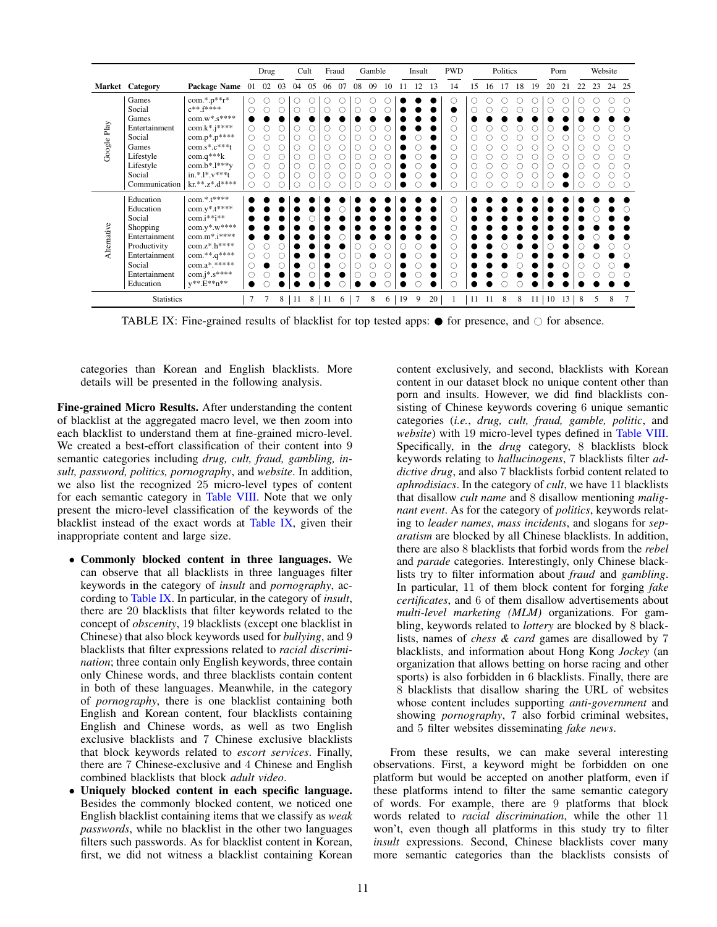<span id="page-10-0"></span>

|             |                                                            |                                                                                                     |                   | Drug |    |    | Cult           | Fraud |    |        | Gamble |    |    | Insult |    | <b>PWD</b> | Politics |    |    |    |    | Porn |                 |    | Website |    |                |
|-------------|------------------------------------------------------------|-----------------------------------------------------------------------------------------------------|-------------------|------|----|----|----------------|-------|----|--------|--------|----|----|--------|----|------------|----------|----|----|----|----|------|-----------------|----|---------|----|----------------|
|             | Market Category                                            | Package Name 01                                                                                     |                   | 02   | 03 | 04 | 05             | 06    | 07 | 08     | 09     | 10 | 11 | 12     | 13 | 14         | 15       | 16 | 17 | 18 | 19 | 20   | 21              | 22 | 23      | 24 | 25             |
|             | Games<br>Social                                            | com.*.p**r*<br>$c***f***$                                                                           | O<br>O            |      |    |    | IJ             |       |    |        |        |    |    |        |    |            |          |    |    |    | .) |      | O<br>O          |    |         |    |                |
| Google Play | Games<br>Entertainment<br>Social                           | $com.w^*.s^{****}$<br>$com.k*.i***$<br>$com.p*.p***$                                                | Ō<br>О            |      |    |    | O              |       |    | C      |        |    |    |        |    |            |          |    |    |    |    |      | O               |    |         |    |                |
|             | Games<br>Lifestyle<br>Lifestyle                            | $com.s*.c***t$<br>$com.q***k$<br>$com.b*.1***y$                                                     | Ó<br>$\circ$<br>О | Ċ    |    |    | Ó              |       |    | С      |        |    |    |        |    |            |          |    |    |    | Э  | O    | O<br>O<br>Ō     |    |         |    |                |
|             | Social<br>Communication                                    | $in.*.1*.v***t$<br>$kr.**.Z*.d****$                                                                 | $\circ$<br>O      |      |    |    |                |       |    |        |        |    |    |        |    |            |          |    |    |    |    |      |                 |    |         |    | O              |
|             | Education<br>Education<br>Social                           | $com.*.****$<br>$com.y^*.t^{****}$<br>$com.i**i**$                                                  |                   |      |    |    |                |       |    |        |        |    |    |        |    |            |          |    |    |    |    |      |                 |    |         |    |                |
| Alternative | Shopping<br>Entertainment<br>Productivity<br>Entertainment | $\text{com.} \mathbf{y}^*.\mathbf{w}^{***}$<br>$com.m*.i***$<br>$com.z^*.h^{****}$<br>$com.**.q***$ | O<br>O            |      |    |    |                |       |    |        |        |    |    |        |    |            |          |    |    |    |    |      |                 |    |         |    |                |
|             | Social<br>Entertainment<br>Education                       | $com.a*.*****$<br>$com. j^* . s^{****}$<br>$y^{**}E^{**}n^{**}$                                     | Ō<br>Ó            |      |    |    |                |       |    | С<br>C |        |    |    |        |    |            |          |    |    |    |    |      |                 |    |         |    |                |
|             | <b>Statistics</b>                                          |                                                                                                     |                   |      | 8  | 11 | 8 <sup>1</sup> | -11   | 6  |        | 8      | 6  | 19 | 9      | 20 |            | 11       | 11 | 8  | 8  | 11 | 10   | 13 <sup>1</sup> | 8  | 5       | 8  | $\overline{7}$ |

TABLE IX: Fine-grained results of blacklist for top tested apps:  $\bullet$  for presence, and  $\circ$  for absence.

categories than Korean and English blacklists. More details will be presented in the following analysis.

Fine-grained Micro Results. After understanding the content of blacklist at the aggregated macro level, we then zoom into each blacklist to understand them at fine-grained micro-level. We created a best-effort classification of their content into 9 semantic categories including *drug, cult, fraud, gambling, in*sult, password, politics, pornography, and website. In addition, we also list the recognized 25 micro-level types of content for each semantic category in Table VIII. Note that we only present the micro-level classification of the keywords of the blacklist instead of the exact words at Table IX, given their inappropriate content and large size.

- Commonly blocked content in three languages. We can observe that all blacklists in three languages filter keywords in the category of *insult* and *pornography*, according to Table IX. In particular, in the category of *insult*, there are 20 blacklists that filter keywords related to the concept of *obscenity*, 19 blacklists (except one blacklist in Chinese) that also block keywords used for *bullying*, and 9 blacklists that filter expressions related to racial discrimination; three contain only English keywords, three contain only Chinese words, and three blacklists contain content in both of these languages. Meanwhile, in the category of *pornography*, there is one blacklist containing both English and Korean content, four blacklists containing English and Chinese words, as well as two English exclusive blacklists and 7 Chinese exclusive blacklists that block keywords related to escort services. Finally, there are 7 Chinese-exclusive and 4 Chinese and English combined blacklists that block adult video.
- Uniquely blocked content in each specific language. Besides the commonly blocked content, we noticed one English blacklist containing items that we classify as weak passwords, while no blacklist in the other two languages filters such passwords. As for blacklist content in Korean, first, we did not witness a blacklist containing Korean

content exclusively, and second, blacklists with Korean content in our dataset block no unique content other than porn and insults. However, we did find blacklists consisting of Chinese keywords covering 6 unique semantic categories (i.e., drug, cult, fraud, gamble, politic, and website) with 19 micro-level types defined in Table VIII. Specifically, in the *drug* category, 8 blacklists block keywords relating to hallucinogens, 7 blacklists filter addictive drug, and also 7 blacklists forbid content related to *aphrodisiacs*. In the category of *cult*, we have 11 blacklists that disallow *cult name* and 8 disallow mentioning *malig*nant event. As for the category of politics, keywords relating to leader names, mass incidents, and slogans for separatism are blocked by all Chinese blacklists. In addition, there are also 8 blacklists that forbid words from the rebel and *parade* categories. Interestingly, only Chinese blacklists try to filter information about *fraud* and *gambling*. In particular, 11 of them block content for forging fake certificates, and 6 of them disallow advertisements about multi-level marketing (MLM) organizations. For gambling, keywords related to *lottery* are blocked by 8 blacklists, names of *chess*  $\&$  *card* games are disallowed by  $7$ blacklists, and information about Hong Kong Jockey (an organization that allows betting on horse racing and other sports) is also forbidden in 6 blacklists. Finally, there are 8 blacklists that disallow sharing the URL of websites whose content includes supporting *anti-government* and showing *pornography*, 7 also forbid criminal websites, and 5 filter websites disseminating fake news.

From these results, we can make several interesting observations. First, a keyword might be forbidden on one platform but would be accepted on another platform, even if these platforms intend to filter the same semantic category of words. For example, there are 9 platforms that block words related to *racial discrimination*, while the other 11 won't, even though all platforms in this study try to filter insult expressions. Second, Chinese blacklists cover many more semantic categories than the blacklists consists of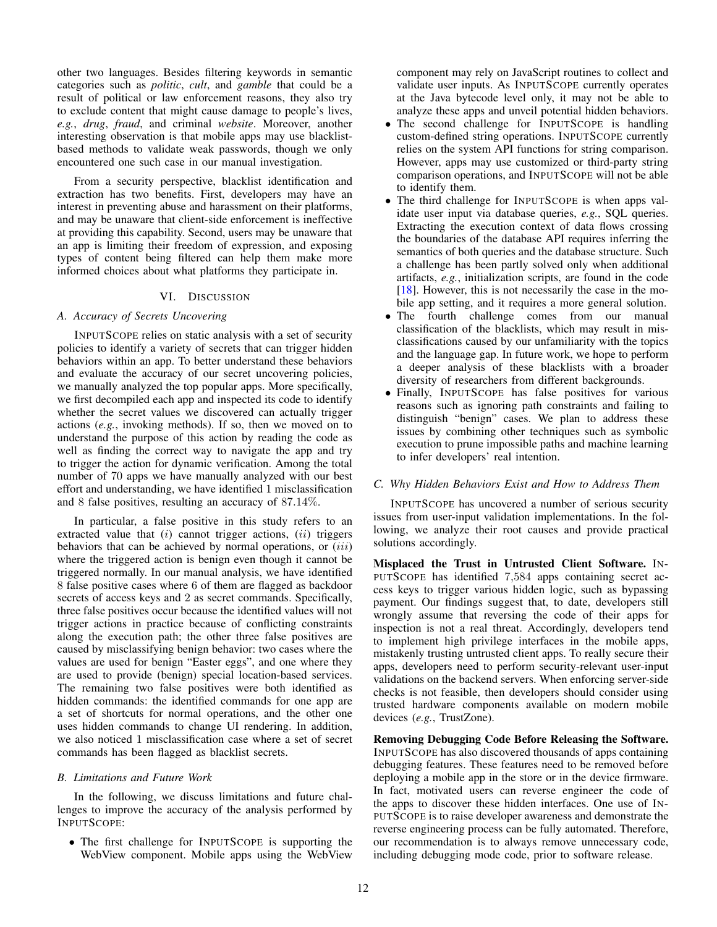other two languages. Besides filtering keywords in semantic categories such as *politic*, *cult*, and *gamble* that could be a result of political or law enforcement reasons, they also try to exclude content that might cause damage to people's lives, *e.g.*, *drug*, *fraud*, and criminal *website*. Moreover, another interesting observation is that mobile apps may use blacklistbased methods to validate weak passwords, though we only encountered one such case in our manual investigation.

From a security perspective, blacklist identification and extraction has two benefits. First, developers may have an interest in preventing abuse and harassment on their platforms, and may be unaware that client-side enforcement is ineffective at providing this capability. Second, users may be unaware that an app is limiting their freedom of expression, and exposing types of content being filtered can help them make more informed choices about what platforms they participate in.

## VI. DISCUSSION

# *A. Accuracy of Secrets Uncovering*

INPUTSCOPE relies on static analysis with a set of security policies to identify a variety of secrets that can trigger hidden behaviors within an app. To better understand these behaviors and evaluate the accuracy of our secret uncovering policies, we manually analyzed the top popular apps. More specifically, we first decompiled each app and inspected its code to identify whether the secret values we discovered can actually trigger actions (*e.g.*, invoking methods). If so, then we moved on to understand the purpose of this action by reading the code as well as finding the correct way to navigate the app and try to trigger the action for dynamic verification. Among the total number of 70 apps we have manually analyzed with our best effort and understanding, we have identified 1 misclassification and 8 false positives, resulting an accuracy of 87.14%.

In particular, a false positive in this study refers to an extracted value that  $(i)$  cannot trigger actions,  $(ii)$  triggers behaviors that can be achieved by normal operations, or  $(iii)$ where the triggered action is benign even though it cannot be triggered normally. In our manual analysis, we have identified 8 false positive cases where 6 of them are flagged as backdoor secrets of access keys and 2 as secret commands. Specifically, three false positives occur because the identified values will not trigger actions in practice because of conflicting constraints along the execution path; the other three false positives are caused by misclassifying benign behavior: two cases where the values are used for benign "Easter eggs", and one where they are used to provide (benign) special location-based services. The remaining two false positives were both identified as hidden commands: the identified commands for one app are a set of shortcuts for normal operations, and the other one uses hidden commands to change UI rendering. In addition, we also noticed 1 misclassification case where a set of secret commands has been flagged as blacklist secrets.

#### *B. Limitations and Future Work*

In the following, we discuss limitations and future challenges to improve the accuracy of the analysis performed by INPUTSCOPE:

• The first challenge for INPUTSCOPE is supporting the WebView component. Mobile apps using the WebView component may rely on JavaScript routines to collect and validate user inputs. As INPUTSCOPE currently operates at the Java bytecode level only, it may not be able to analyze these apps and unveil potential hidden behaviors.

- The second challenge for INPUTSCOPE is handling custom-defined string operations. INPUTSCOPE currently relies on the system API functions for string comparison. However, apps may use customized or third-party string comparison operations, and INPUTSCOPE will not be able to identify them.
- The third challenge for INPUTSCOPE is when apps validate user input via database queries, *e.g.*, SQL queries. Extracting the execution context of data flows crossing the boundaries of the database API requires inferring the semantics of both queries and the database structure. Such a challenge has been partly solved only when additional artifacts, *e.g.*, initialization scripts, are found in the code [\[18\]](#page-13-11). However, this is not necessarily the case in the mobile app setting, and it requires a more general solution.
- The fourth challenge comes from our manual classification of the blacklists, which may result in misclassifications caused by our unfamiliarity with the topics and the language gap. In future work, we hope to perform a deeper analysis of these blacklists with a broader diversity of researchers from different backgrounds.
- Finally, INPUTSCOPE has false positives for various reasons such as ignoring path constraints and failing to distinguish "benign" cases. We plan to address these issues by combining other techniques such as symbolic execution to prune impossible paths and machine learning to infer developers' real intention.

## *C. Why Hidden Behaviors Exist and How to Address Them*

INPUTSCOPE has uncovered a number of serious security issues from user-input validation implementations. In the following, we analyze their root causes and provide practical solutions accordingly.

Misplaced the Trust in Untrusted Client Software. IN-PUTSCOPE has identified 7,584 apps containing secret access keys to trigger various hidden logic, such as bypassing payment. Our findings suggest that, to date, developers still wrongly assume that reversing the code of their apps for inspection is not a real threat. Accordingly, developers tend to implement high privilege interfaces in the mobile apps, mistakenly trusting untrusted client apps. To really secure their apps, developers need to perform security-relevant user-input validations on the backend servers. When enforcing server-side checks is not feasible, then developers should consider using trusted hardware components available on modern mobile devices (*e.g.*, TrustZone).

Removing Debugging Code Before Releasing the Software. INPUTSCOPE has also discovered thousands of apps containing debugging features. These features need to be removed before deploying a mobile app in the store or in the device firmware. In fact, motivated users can reverse engineer the code of the apps to discover these hidden interfaces. One use of IN-PUTSCOPE is to raise developer awareness and demonstrate the reverse engineering process can be fully automated. Therefore, our recommendation is to always remove unnecessary code, including debugging mode code, prior to software release.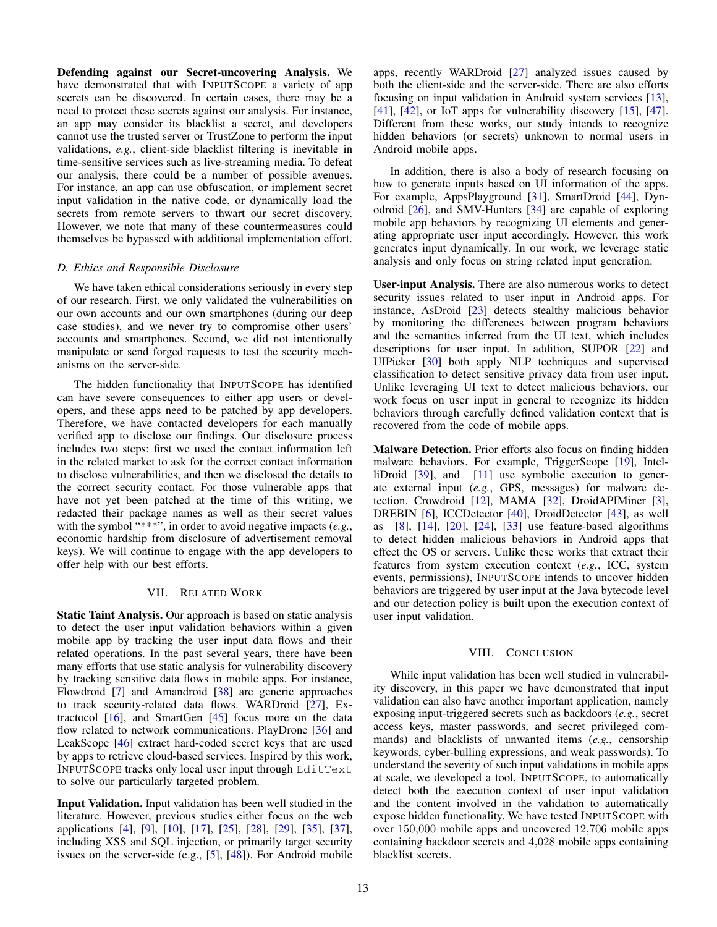Defending against our Secret-uncovering Analysis. We have demonstrated that with INPUTSCOPE a variety of app secrets can be discovered. In certain cases, there may be a need to protect these secrets against our analysis. For instance, an app may consider its blacklist a secret, and developers cannot use the trusted server or TrustZone to perform the input validations, *e.g.*, client-side blacklist filtering is inevitable in time-sensitive services such as live-streaming media. To defeat our analysis, there could be a number of possible avenues. For instance, an app can use obfuscation, or implement secret input validation in the native code, or dynamically load the secrets from remote servers to thwart our secret discovery. However, we note that many of these countermeasures could themselves be bypassed with additional implementation effort.

#### *D. Ethics and Responsible Disclosure*

We have taken ethical considerations seriously in every step of our research. First, we only validated the vulnerabilities on our own accounts and our own smartphones (during our deep case studies), and we never try to compromise other users' accounts and smartphones. Second, we did not intentionally manipulate or send forged requests to test the security mechanisms on the server-side.

The hidden functionality that INPUTSCOPE has identified can have severe consequences to either app users or developers, and these apps need to be patched by app developers. Therefore, we have contacted developers for each manually verified app to disclose our findings. Our disclosure process includes two steps: first we used the contact information left in the related market to ask for the correct contact information to disclose vulnerabilities, and then we disclosed the details to the correct security contact. For those vulnerable apps that have not yet been patched at the time of this writing, we redacted their package names as well as their secret values with the symbol "\*\*\*", in order to avoid negative impacts (*e.g.*, economic hardship from disclosure of advertisement removal keys). We will continue to engage with the app developers to offer help with our best efforts.

### VII. RELATED WORK

Static Taint Analysis. Our approach is based on static analysis to detect the user input validation behaviors within a given mobile app by tracking the user input data flows and their related operations. In the past several years, there have been many efforts that use static analysis for vulnerability discovery by tracking sensitive data flows in mobile apps. For instance, Flowdroid [\[7\]](#page-13-8) and Amandroid [\[38\]](#page-14-2) are generic approaches to track security-related data flows. WARDroid [\[27\]](#page-13-12), Extractocol  $[16]$ , and SmartGen  $[45]$  focus more on the data flow related to network communications. PlayDrone [\[36\]](#page-14-5) and LeakScope [\[46\]](#page-14-3) extract hard-coded secret keys that are used by apps to retrieve cloud-based services. Inspired by this work, INPUTSCOPE tracks only local user input through EditText to solve our particularly targeted problem.

Input Validation. Input validation has been well studied in the literature. However, previous studies either focus on the web applications [\[4\]](#page-13-0), [\[9\]](#page-13-1), [\[10\]](#page-13-2), [\[17\]](#page-13-5), [\[25\]](#page-13-6), [\[28\]](#page-13-3), [\[29\]](#page-13-4), [\[35\]](#page-14-0), [\[37\]](#page-14-1), including XSS and SQL injection, or primarily target security issues on the server-side (e.g., [\[5\]](#page-13-14), [\[48\]](#page-14-6)). For Android mobile apps, recently WARDroid [\[27\]](#page-13-12) analyzed issues caused by both the client-side and the server-side. There are also efforts focusing on input validation in Android system services [\[13\]](#page-13-15), [\[41\]](#page-14-7),  $[42]$ , or IoT apps for vulnerability discovery  $[15]$ ,  $[47]$ . Different from these works, our study intends to recognize hidden behaviors (or secrets) unknown to normal users in Android mobile apps.

In addition, there is also a body of research focusing on how to generate inputs based on UI information of the apps. For example, AppsPlayground [\[31\]](#page-14-10), SmartDroid [\[44\]](#page-14-11), Dynodroid [\[26\]](#page-13-17), and SMV-Hunters [\[34\]](#page-14-12) are capable of exploring mobile app behaviors by recognizing UI elements and generating appropriate user input accordingly. However, this work generates input dynamically. In our work, we leverage static analysis and only focus on string related input generation.

User-input Analysis. There are also numerous works to detect security issues related to user input in Android apps. For instance, AsDroid [\[23\]](#page-13-18) detects stealthy malicious behavior by monitoring the differences between program behaviors and the semantics inferred from the UI text, which includes descriptions for user input. In addition, SUPOR [\[22\]](#page-13-19) and UIPicker [\[30\]](#page-13-20) both apply NLP techniques and supervised classification to detect sensitive privacy data from user input. Unlike leveraging UI text to detect malicious behaviors, our work focus on user input in general to recognize its hidden behaviors through carefully defined validation context that is recovered from the code of mobile apps.

Malware Detection. Prior efforts also focus on finding hidden malware behaviors. For example, TriggerScope [\[19\]](#page-13-21), Intel-liDroid [\[39\]](#page-14-13), and [\[11\]](#page-13-22) use symbolic execution to generate external input (*e.g.*, GPS, messages) for malware detection. Crowdroid [\[12\]](#page-13-23), MAMA [\[32\]](#page-14-14), DroidAPIMiner [\[3\]](#page-13-24), DREBIN [\[6\]](#page-13-25), ICCDetector [\[40\]](#page-14-15), DroidDetector [\[43\]](#page-14-16), as well as [\[8\]](#page-13-26), [\[14\]](#page-13-27), [\[20\]](#page-13-28), [\[24\]](#page-13-29), [\[33\]](#page-14-17) use feature-based algorithms to detect hidden malicious behaviors in Android apps that effect the OS or servers. Unlike these works that extract their features from system execution context (*e.g.*, ICC, system events, permissions), INPUTSCOPE intends to uncover hidden behaviors are triggered by user input at the Java bytecode level and our detection policy is built upon the execution context of user input validation.

#### VIII. CONCLUSION

While input validation has been well studied in vulnerability discovery, in this paper we have demonstrated that input validation can also have another important application, namely exposing input-triggered secrets such as backdoors (*e.g.*, secret access keys, master passwords, and secret privileged commands) and blacklists of unwanted items (*e.g.*, censorship keywords, cyber-bulling expressions, and weak passwords). To understand the severity of such input validations in mobile apps at scale, we developed a tool, INPUTSCOPE, to automatically detect both the execution context of user input validation and the content involved in the validation to automatically expose hidden functionality. We have tested INPUTSCOPE with over 150,000 mobile apps and uncovered 12,706 mobile apps containing backdoor secrets and 4,028 mobile apps containing blacklist secrets.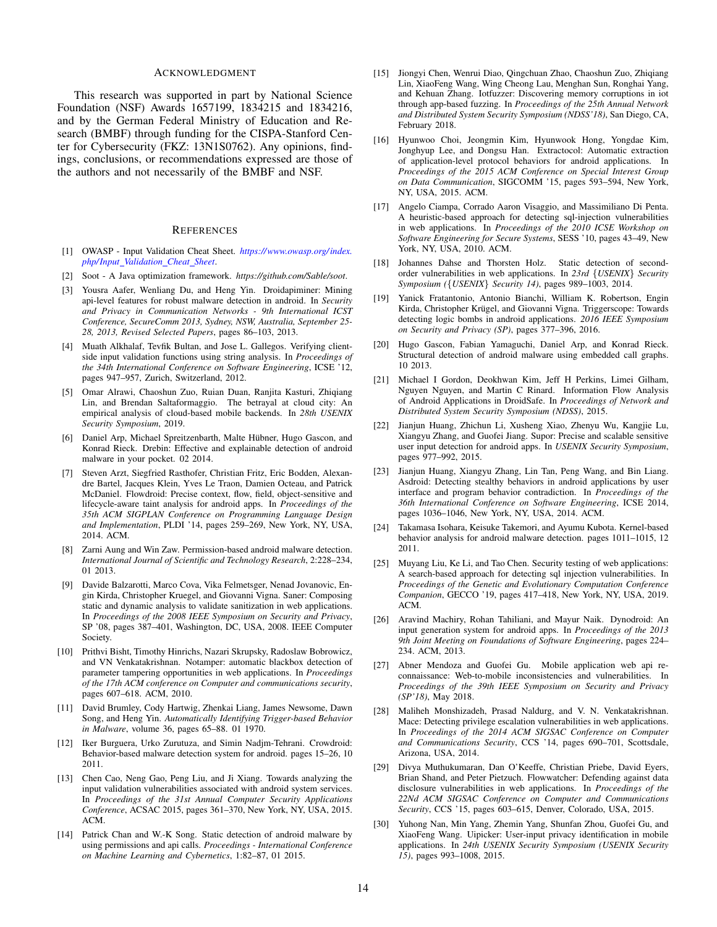#### ACKNOWLEDGMENT

This research was supported in part by National Science Foundation (NSF) Awards 1657199, 1834215 and 1834216, and by the German Federal Ministry of Education and Research (BMBF) through funding for the CISPA-Stanford Center for Cybersecurity (FKZ: 13N1S0762). Any opinions, findings, conclusions, or recommendations expressed are those of the authors and not necessarily of the BMBF and NSF.

#### **REFERENCES**

- <span id="page-13-7"></span>[1] OWASP - Input Validation Cheat Sheet. *[https://www.owasp.org/index.](https://www.owasp.org/index.php/Input_Validation_Cheat_Sheet) php/ Input [Validation](https://www.owasp.org/index.php/Input_Validation_Cheat_Sheet) Cheat Sheet*.
- <span id="page-13-10"></span>[2] Soot - A Java optimization framework. *https://github.com/Sable/soot*.
- <span id="page-13-24"></span>[3] Yousra Aafer, Wenliang Du, and Heng Yin. Droidapiminer: Mining api-level features for robust malware detection in android. In *Security and Privacy in Communication Networks - 9th International ICST Conference, SecureComm 2013, Sydney, NSW, Australia, September 25- 28, 2013, Revised Selected Papers*, pages 86–103, 2013.
- <span id="page-13-0"></span>[4] Muath Alkhalaf, Tevfik Bultan, and Jose L. Gallegos. Verifying clientside input validation functions using string analysis. In *Proceedings of the 34th International Conference on Software Engineering*, ICSE '12, pages 947–957, Zurich, Switzerland, 2012.
- <span id="page-13-14"></span>[5] Omar Alrawi, Chaoshun Zuo, Ruian Duan, Ranjita Kasturi, Zhiqiang Lin, and Brendan Saltaformaggio. The betrayal at cloud city: An empirical analysis of cloud-based mobile backends. In *28th USENIX Security Symposium*, 2019.
- <span id="page-13-25"></span>[6] Daniel Arp, Michael Spreitzenbarth, Malte Hübner, Hugo Gascon, and Konrad Rieck. Drebin: Effective and explainable detection of android malware in your pocket. 02 2014.
- <span id="page-13-8"></span>[7] Steven Arzt, Siegfried Rasthofer, Christian Fritz, Eric Bodden, Alexandre Bartel, Jacques Klein, Yves Le Traon, Damien Octeau, and Patrick McDaniel. Flowdroid: Precise context, flow, field, object-sensitive and lifecycle-aware taint analysis for android apps. In *Proceedings of the 35th ACM SIGPLAN Conference on Programming Language Design and Implementation*, PLDI '14, pages 259–269, New York, NY, USA, 2014. ACM.
- <span id="page-13-26"></span>[8] Zarni Aung and Win Zaw. Permission-based android malware detection. *International Journal of Scientific and Technology Research*, 2:228–234, 01 2013.
- <span id="page-13-1"></span>[9] Davide Balzarotti, Marco Cova, Vika Felmetsger, Nenad Jovanovic, Engin Kirda, Christopher Kruegel, and Giovanni Vigna. Saner: Composing static and dynamic analysis to validate sanitization in web applications. In *Proceedings of the 2008 IEEE Symposium on Security and Privacy*, SP '08, pages 387–401, Washington, DC, USA, 2008. IEEE Computer Society.
- <span id="page-13-2"></span>[10] Prithvi Bisht, Timothy Hinrichs, Nazari Skrupsky, Radoslaw Bobrowicz, and VN Venkatakrishnan. Notamper: automatic blackbox detection of parameter tampering opportunities in web applications. In *Proceedings of the 17th ACM conference on Computer and communications security*, pages 607–618. ACM, 2010.
- <span id="page-13-22"></span>[11] David Brumley, Cody Hartwig, Zhenkai Liang, James Newsome, Dawn Song, and Heng Yin. *Automatically Identifying Trigger-based Behavior in Malware*, volume 36, pages 65–88. 01 1970.
- <span id="page-13-23"></span>[12] Iker Burguera, Urko Zurutuza, and Simin Nadjm-Tehrani. Crowdroid: Behavior-based malware detection system for android. pages 15–26, 10 2011.
- <span id="page-13-15"></span>[13] Chen Cao, Neng Gao, Peng Liu, and Ji Xiang. Towards analyzing the input validation vulnerabilities associated with android system services. In *Proceedings of the 31st Annual Computer Security Applications Conference*, ACSAC 2015, pages 361–370, New York, NY, USA, 2015. ACM.
- <span id="page-13-27"></span>[14] Patrick Chan and W.-K Song. Static detection of android malware by using permissions and api calls. *Proceedings - International Conference on Machine Learning and Cybernetics*, 1:82–87, 01 2015.
- <span id="page-13-16"></span>[15] Jiongyi Chen, Wenrui Diao, Qingchuan Zhao, Chaoshun Zuo, Zhiqiang Lin, XiaoFeng Wang, Wing Cheong Lau, Menghan Sun, Ronghai Yang, and Kehuan Zhang. Iotfuzzer: Discovering memory corruptions in iot through app-based fuzzing. In *Proceedings of the 25th Annual Network and Distributed System Security Symposium (NDSS'18)*, San Diego, CA, February 2018.
- <span id="page-13-13"></span>[16] Hyunwoo Choi, Jeongmin Kim, Hyunwook Hong, Yongdae Kim, Jonghyup Lee, and Dongsu Han. Extractocol: Automatic extraction of application-level protocol behaviors for android applications. In *Proceedings of the 2015 ACM Conference on Special Interest Group on Data Communication*, SIGCOMM '15, pages 593–594, New York, NY, USA, 2015. ACM.
- <span id="page-13-5"></span>[17] Angelo Ciampa, Corrado Aaron Visaggio, and Massimiliano Di Penta. A heuristic-based approach for detecting sql-injection vulnerabilities in web applications. In *Proceedings of the 2010 ICSE Workshop on Software Engineering for Secure Systems*, SESS '10, pages 43–49, New York, NY, USA, 2010. ACM.
- <span id="page-13-11"></span>[18] Johannes Dahse and Thorsten Holz. Static detection of secondorder vulnerabilities in web applications. In *23rd* {*USENIX*} *Security Symposium (*{*USENIX*} *Security 14)*, pages 989–1003, 2014.
- <span id="page-13-21"></span>[19] Yanick Fratantonio, Antonio Bianchi, William K. Robertson, Engin Kirda, Christopher Krügel, and Giovanni Vigna. Triggerscope: Towards detecting logic bombs in android applications. *2016 IEEE Symposium on Security and Privacy (SP)*, pages 377–396, 2016.
- <span id="page-13-28"></span>[20] Hugo Gascon, Fabian Yamaguchi, Daniel Arp, and Konrad Rieck. Structural detection of android malware using embedded call graphs. 10 2013.
- <span id="page-13-9"></span>[21] Michael I Gordon, Deokhwan Kim, Jeff H Perkins, Limei Gilham, Nguyen Nguyen, and Martin C Rinard. Information Flow Analysis of Android Applications in DroidSafe. In *Proceedings of Network and Distributed System Security Symposium (NDSS)*, 2015.
- <span id="page-13-19"></span>[22] Jianjun Huang, Zhichun Li, Xusheng Xiao, Zhenyu Wu, Kangjie Lu, Xiangyu Zhang, and Guofei Jiang. Supor: Precise and scalable sensitive user input detection for android apps. In *USENIX Security Symposium*, pages 977–992, 2015.
- <span id="page-13-18"></span>[23] Jianjun Huang, Xiangyu Zhang, Lin Tan, Peng Wang, and Bin Liang. Asdroid: Detecting stealthy behaviors in android applications by user interface and program behavior contradiction. In *Proceedings of the 36th International Conference on Software Engineering*, ICSE 2014, pages 1036–1046, New York, NY, USA, 2014. ACM.
- <span id="page-13-29"></span>[24] Takamasa Isohara, Keisuke Takemori, and Ayumu Kubota. Kernel-based behavior analysis for android malware detection. pages 1011–1015, 12 2011.
- <span id="page-13-6"></span>[25] Muyang Liu, Ke Li, and Tao Chen. Security testing of web applications: A search-based approach for detecting sql injection vulnerabilities. In *Proceedings of the Genetic and Evolutionary Computation Conference Companion*, GECCO '19, pages 417–418, New York, NY, USA, 2019. ACM.
- <span id="page-13-17"></span>[26] Aravind Machiry, Rohan Tahiliani, and Mayur Naik. Dynodroid: An input generation system for android apps. In *Proceedings of the 2013 9th Joint Meeting on Foundations of Software Engineering*, pages 224– 234. ACM, 2013.
- <span id="page-13-12"></span>[27] Abner Mendoza and Guofei Gu. Mobile application web api reconnaissance: Web-to-mobile inconsistencies and vulnerabilities. In *Proceedings of the 39th IEEE Symposium on Security and Privacy (SP'18)*, May 2018.
- <span id="page-13-3"></span>[28] Maliheh Monshizadeh, Prasad Naldurg, and V. N. Venkatakrishnan. Mace: Detecting privilege escalation vulnerabilities in web applications. In *Proceedings of the 2014 ACM SIGSAC Conference on Computer and Communications Security*, CCS '14, pages 690–701, Scottsdale, Arizona, USA, 2014.
- <span id="page-13-4"></span>[29] Divya Muthukumaran, Dan O'Keeffe, Christian Priebe, David Eyers, Brian Shand, and Peter Pietzuch. Flowwatcher: Defending against data disclosure vulnerabilities in web applications. In *Proceedings of the 22Nd ACM SIGSAC Conference on Computer and Communications Security*, CCS '15, pages 603–615, Denver, Colorado, USA, 2015.
- <span id="page-13-20"></span>[30] Yuhong Nan, Min Yang, Zhemin Yang, Shunfan Zhou, Guofei Gu, and XiaoFeng Wang. Uipicker: User-input privacy identification in mobile applications. In *24th USENIX Security Symposium (USENIX Security 15)*, pages 993–1008, 2015.